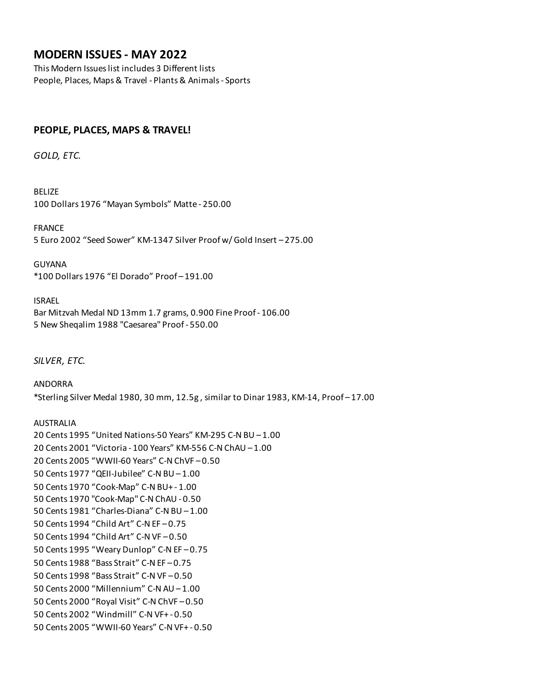# **MODERN ISSUES - MAY 2022**

This Modern Issues list includes 3 Different lists People, Places, Maps & Travel - Plants & Animals - Sports

# **PEOPLE, PLACES, MAPS & TRAVEL!**

*GOLD, ETC.*

BELIZE 100 Dollars 1976 "Mayan Symbols" Matte - 250.00

FRANCE 5 Euro 2002 "Seed Sower" KM-1347 Silver Proof w/ Gold Insert – 275.00

GUYANA \*100 Dollars 1976 "El Dorado" Proof – 191.00

ISRAEL Bar Mitzvah Medal ND 13mm 1.7 grams, 0.900 Fine Proof - 106.00 5 New Sheqalim 1988 "Caesarea" Proof - 550.00

*SILVER, ETC.*

ANDORRA \*Sterling Silver Medal 1980, 30 mm, 12.5g , similar to Dinar 1983, KM-14, Proof – 17.00

AUSTRALIA 20 Cents 1995 "United Nations-50 Years" KM-295 C-N BU – 1.00 20 Cents 2001 "Victoria - 100 Years" KM-556 C-N ChAU – 1.00 20 Cents 2005 "WWII-60 Years" C-N ChVF – 0.50 50 Cents 1977 "QEII-Jubilee" C-N BU – 1.00 50 Cents 1970 "Cook-Map" C-N BU+ - 1.00 50 Cents 1970 "Cook-Map" C-N ChAU - 0.50 50 Cents 1981 "Charles-Diana" C-N BU – 1.00 50 Cents 1994 "Child Art" C-N EF – 0.75 50 Cents 1994 "Child Art" C-N VF – 0.50 50 Cents 1995 "Weary Dunlop" C-N EF – 0.75 50 Cents 1988 "Bass Strait" C-N EF – 0.75 50 Cents 1998 "Bass Strait" C-N VF – 0.50 50 Cents 2000 "Millennium" C-N AU – 1.00 50 Cents 2000 "Royal Visit" C-N ChVF – 0.50 50 Cents 2002 "Windmill" C-N VF+ - 0.50 50 Cents 2005 "WWII-60 Years" C-N VF+ - 0.50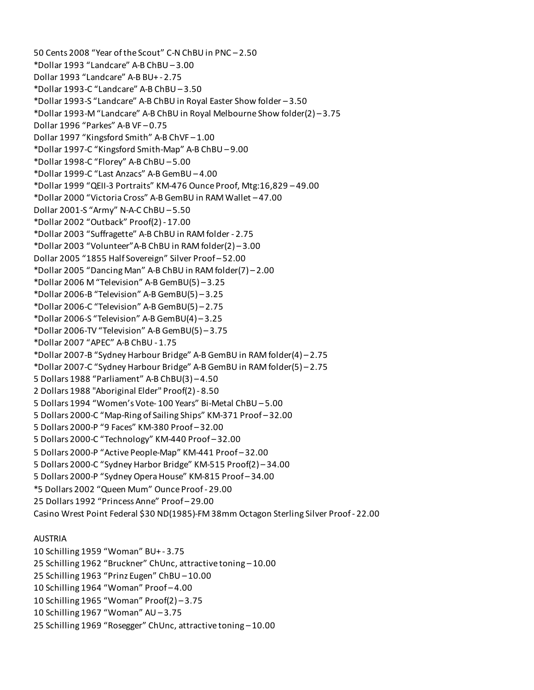50 Cents 2008 "Year of the Scout" C-N ChBU in PNC – 2.50 \*Dollar 1993 "Landcare" A-B ChBU – 3.00 Dollar 1993 "Landcare" A-B BU+ - 2.75 \*Dollar 1993-C "Landcare" A-B ChBU – 3.50 \*Dollar 1993-S "Landcare" A-B ChBU in Royal Easter Show folder – 3.50 \*Dollar 1993-M "Landcare" A-B ChBU in Royal Melbourne Show folder(2) – 3.75 Dollar 1996 "Parkes" A-B VF – 0.75 Dollar 1997 "Kingsford Smith" A-B ChVF – 1.00 \*Dollar 1997-C "Kingsford Smith-Map" A-B ChBU – 9.00 \*Dollar 1998-C "Florey" A-B ChBU – 5.00 \*Dollar 1999-C "Last Anzacs" A-B GemBU – 4.00 \*Dollar 1999 "QEII-3 Portraits" KM-476 Ounce Proof, Mtg:16,829 – 49.00 \*Dollar 2000 "Victoria Cross" A-B GemBU in RAM Wallet – 47.00 Dollar 2001-S "Army" N-A-C ChBU – 5.50 \*Dollar 2002 "Outback" Proof(2) - 17.00 \*Dollar 2003 "Suffragette" A-B ChBU in RAM folder - 2.75 \*Dollar 2003 "Volunteer"A-B ChBU in RAM folder(2) – 3.00 Dollar 2005 "1855 Half Sovereign" Silver Proof – 52.00 \*Dollar 2005 "Dancing Man" A-B ChBU in RAM folder(7) – 2.00 \*Dollar 2006 M "Television" A-B GemBU(5) – 3.25 \*Dollar 2006-B "Television" A-B GemBU(5) – 3.25 \*Dollar 2006-C "Television" A-B GemBU(5) – 2.75 \*Dollar 2006-S "Television" A-B GemBU(4) – 3.25 \*Dollar 2006-TV "Television" A-B GemBU(5) – 3.75 \*Dollar 2007 "APEC" A-B ChBU - 1.75 \*Dollar 2007-B "Sydney Harbour Bridge" A-B GemBU in RAM folder(4) – 2.75 \*Dollar 2007-C "Sydney Harbour Bridge" A-B GemBU in RAM folder(5) – 2.75 5 Dollars 1988 "Parliament" A-B ChBU(3) – 4.50 2 Dollars 1988 "Aboriginal Elder" Proof(2) - 8.50 5 Dollars 1994 "Women's Vote- 100 Years" Bi-Metal ChBU – 5.00 5 Dollars 2000-C "Map-Ring of Sailing Ships" KM-371 Proof – 32.00 5 Dollars 2000-P "9 Faces" KM-380 Proof – 32.00 5 Dollars 2000-C "Technology" KM-440 Proof – 32.00 5 Dollars 2000-P "Active People-Map" KM-441 Proof – 32.00 5 Dollars 2000-C "Sydney Harbor Bridge" KM-515 Proof(2) – 34.00 5 Dollars 2000-P "Sydney Opera House" KM-815 Proof – 34.00 \*5 Dollars 2002 "Queen Mum" Ounce Proof - 29.00 25 Dollars 1992 "Princess Anne" Proof – 29.00 Casino Wrest Point Federal \$30 ND(1985)-FM 38mm Octagon Sterling Silver Proof - 22.00

## AUSTRIA

10 Schilling 1959 "Woman" BU+ - 3.75 25 Schilling 1962 "Bruckner" ChUnc, attractive toning – 10.00 25 Schilling 1963 "Prinz Eugen" ChBU – 10.00 10 Schilling 1964 "Woman" Proof – 4.00 10 Schilling 1965 "Woman" Proof(2) – 3.75 10 Schilling 1967 "Woman" AU – 3.75 25 Schilling 1969 "Rosegger" ChUnc, attractive toning – 10.00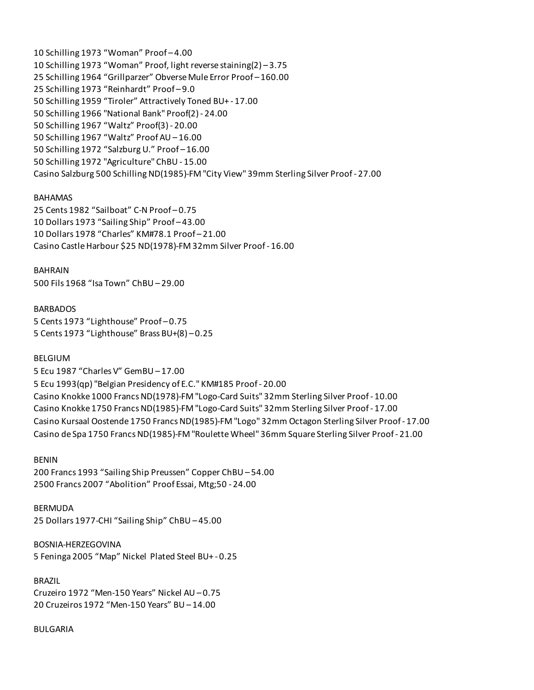10 Schilling 1973 "Woman" Proof – 4.00 10 Schilling 1973 "Woman" Proof, light reverse staining(2) – 3.75 25 Schilling 1964 "Grillparzer" Obverse Mule Error Proof – 160.00 25 Schilling 1973 "Reinhardt" Proof – 9.0 50 Schilling 1959 "Tiroler" Attractively Toned BU+ - 17.00 50 Schilling 1966 "National Bank" Proof(2) - 24.00 50 Schilling 1967 "Waltz" Proof(3) - 20.00 50 Schilling 1967 "Waltz" Proof AU – 16.00 50 Schilling 1972 "Salzburg U." Proof – 16.00 50 Schilling 1972 "Agriculture" ChBU - 15.00 Casino Salzburg 500 Schilling ND(1985)-FM "City View" 39mm Sterling Silver Proof - 27.00

### BAHAMAS

25 Cents 1982 "Sailboat" C-N Proof – 0.75 10 Dollars 1973 "Sailing Ship" Proof – 43.00 10 Dollars 1978 "Charles" KM#78.1 Proof – 21.00 Casino Castle Harbour \$25 ND(1978)-FM 32mm Silver Proof - 16.00

BAHRAIN 500 Fils 1968 "Isa Town" ChBU – 29.00

BARBADOS 5 Cents 1973 "Lighthouse" Proof – 0.75 5 Cents 1973 "Lighthouse" Brass BU+(8) – 0.25

#### BELGIUM

5 Ecu 1987 "Charles V" GemBU – 17.00 5 Ecu 1993(qp) "Belgian Presidency of E.C." KM#185 Proof - 20.00 Casino Knokke 1000 Francs ND(1978)-FM "Logo-Card Suits" 32mm Sterling Silver Proof - 10.00 Casino Knokke 1750 Francs ND(1985)-FM "Logo-Card Suits" 32mm Sterling Silver Proof - 17.00 Casino Kursaal Oostende 1750 Francs ND(1985)-FM "Logo" 32mm Octagon Sterling Silver Proof - 17.00 Casino de Spa 1750 Francs ND(1985)-FM "Roulette Wheel" 36mm Square Sterling Silver Proof - 21.00

BENIN

200 Francs 1993 "Sailing Ship Preussen" Copper ChBU – 54.00 2500 Francs 2007 "Abolition" Proof Essai, Mtg;50 - 24.00

BERMUDA 25 Dollars 1977-CHI "Sailing Ship" ChBU – 45.00

BOSNIA-HERZEGOVINA 5 Feninga 2005 "Map" Nickel Plated Steel BU+ - 0.25

BRAZIL Cruzeiro 1972 "Men-150 Years" Nickel AU – 0.75 20 Cruzeiros 1972 "Men-150 Years" BU – 14.00

BULGARIA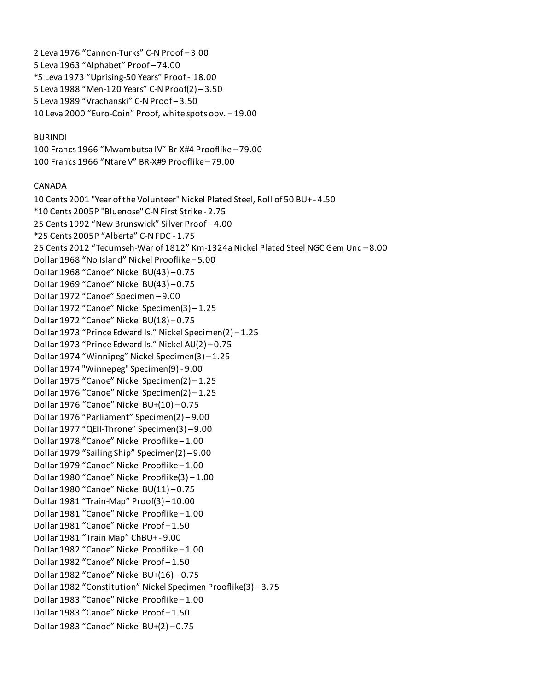2 Leva 1976 "Cannon-Turks" C-N Proof – 3.00 5 Leva 1963 "Alphabet" Proof – 74.00 \*5 Leva 1973 "Uprising-50 Years" Proof - 18.00 5 Leva 1988 "Men-120 Years" C-N Proof(2) – 3.50 5 Leva 1989 "Vrachanski" C-N Proof – 3.50 10 Leva 2000 "Euro-Coin" Proof, white spots obv. – 19.00

### BURINDI

100 Francs 1966 "Mwambutsa IV" Br-X#4 Prooflike – 79.00 100 Francs 1966 "Ntare V" BR-X#9 Prooflike – 79.00

### CANADA

10 Cents 2001 "Year of the Volunteer" Nickel Plated Steel, Roll of 50 BU+ - 4.50 \*10 Cents 2005P "Bluenose" C-N First Strike - 2.75 25 Cents 1992 "New Brunswick" Silver Proof – 4.00 \*25 Cents 2005P "Alberta" C-N FDC - 1.75 25 Cents 2012 "Tecumseh-War of 1812" Km-1324a Nickel Plated Steel NGC Gem Unc – 8.00 Dollar 1968 "No Island" Nickel Prooflike – 5.00 Dollar 1968 "Canoe" Nickel BU(43) – 0.75 Dollar 1969 "Canoe" Nickel BU(43) – 0.75 Dollar 1972 "Canoe" Specimen – 9.00 Dollar 1972 "Canoe" Nickel Specimen(3) – 1.25 Dollar 1972 "Canoe" Nickel BU(18) – 0.75 Dollar 1973 "Prince Edward Is." Nickel Specimen(2) – 1.25 Dollar 1973 "Prince Edward Is." Nickel AU(2) – 0.75 Dollar 1974 "Winnipeg" Nickel Specimen(3) – 1.25 Dollar 1974 "Winnepeg" Specimen(9) - 9.00 Dollar 1975 "Canoe" Nickel Specimen(2) – 1.25 Dollar 1976 "Canoe" Nickel Specimen(2) – 1.25 Dollar 1976 "Canoe" Nickel BU+(10) – 0.75 Dollar 1976 "Parliament" Specimen(2) – 9.00 Dollar 1977 "QEII-Throne" Specimen(3) – 9.00 Dollar 1978 "Canoe" Nickel Prooflike – 1.00 Dollar 1979 "Sailing Ship" Specimen(2) – 9.00 Dollar 1979 "Canoe" Nickel Prooflike – 1.00 Dollar 1980 "Canoe" Nickel Prooflike(3) – 1.00 Dollar 1980 "Canoe" Nickel BU(11) – 0.75 Dollar 1981 "Train-Map" Proof(3) – 10.00 Dollar 1981 "Canoe" Nickel Prooflike – 1.00 Dollar 1981 "Canoe" Nickel Proof – 1.50 Dollar 1981 "Train Map" ChBU+ - 9.00 Dollar 1982 "Canoe" Nickel Prooflike – 1.00 Dollar 1982 "Canoe" Nickel Proof – 1.50 Dollar 1982 "Canoe" Nickel BU+(16) – 0.75 Dollar 1982 "Constitution" Nickel Specimen Prooflike(3) – 3.75 Dollar 1983 "Canoe" Nickel Prooflike – 1.00 Dollar 1983 "Canoe" Nickel Proof – 1.50 Dollar 1983 "Canoe" Nickel BU+(2) – 0.75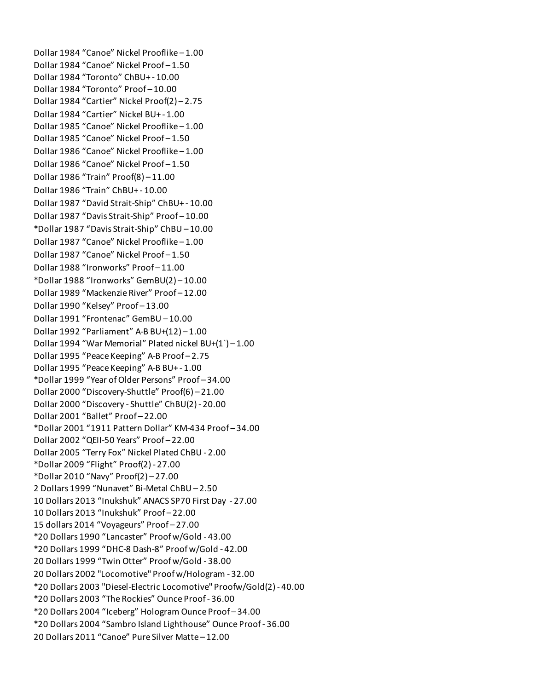Dollar 1984 "Canoe" Nickel Prooflike – 1.00 Dollar 1984 "Canoe" Nickel Proof – 1.50 Dollar 1984 "Toronto" ChBU+ - 10.00 Dollar 1984 "Toronto" Proof – 10.00 Dollar 1984 "Cartier" Nickel Proof(2) – 2.75 Dollar 1984 "Cartier" Nickel BU+ - 1.00 Dollar 1985 "Canoe" Nickel Prooflike – 1.00 Dollar 1985 "Canoe" Nickel Proof – 1.50 Dollar 1986 "Canoe" Nickel Prooflike – 1.00 Dollar 1986 "Canoe" Nickel Proof – 1.50 Dollar 1986 "Train" Proof(8) – 11.00 Dollar 1986 "Train" ChBU+ - 10.00 Dollar 1987 "David Strait-Ship" ChBU+ - 10.00 Dollar 1987 "Davis Strait-Ship" Proof – 10.00 \*Dollar 1987 "Davis Strait-Ship" ChBU – 10.00 Dollar 1987 "Canoe" Nickel Prooflike – 1.00 Dollar 1987 "Canoe" Nickel Proof – 1.50 Dollar 1988 "Ironworks" Proof – 11.00 \*Dollar 1988 "Ironworks" GemBU(2) – 10.00 Dollar 1989 "Mackenzie River" Proof – 12.00 Dollar 1990 "Kelsey" Proof – 13.00 Dollar 1991 "Frontenac" GemBU – 10.00 Dollar 1992 "Parliament" A-B BU+(12) – 1.00 Dollar 1994 "War Memorial" Plated nickel BU+(1`) – 1.00 Dollar 1995 "Peace Keeping" A-B Proof – 2.75 Dollar 1995 "Peace Keeping" A-B BU+ - 1.00 \*Dollar 1999 "Year of Older Persons" Proof – 34.00 Dollar 2000 "Discovery-Shuttle" Proof(6) – 21.00 Dollar 2000 "Discovery - Shuttle" ChBU(2) - 20.00 Dollar 2001 "Ballet" Proof – 22.00 \*Dollar 2001 "1911 Pattern Dollar" KM-434 Proof – 34.00 Dollar 2002 "QEII-50 Years" Proof – 22.00 Dollar 2005 "Terry Fox" Nickel Plated ChBU - 2.00 \*Dollar 2009 "Flight" Proof(2) - 27.00 \*Dollar 2010 "Navy" Proof(2) – 27.00 2 Dollars 1999 "Nunavet" Bi-Metal ChBU – 2.50 10 Dollars 2013 "Inukshuk" ANACS SP70 First Day - 27.00 10 Dollars 2013 "Inukshuk" Proof – 22.00 15 dollars 2014 "Voyageurs" Proof – 27.00 \*20 Dollars 1990 "Lancaster" Proof w/Gold - 43.00 \*20 Dollars 1999 "DHC-8 Dash-8" Proof w/Gold - 42.00 20 Dollars 1999 "Twin Otter" Proof w/Gold - 38.00 20 Dollars 2002 "Locomotive" Proof w/Hologram - 32.00 \*20 Dollars 2003 "Diesel-Electric Locomotive" Proofw/Gold(2) - 40.00 \*20 Dollars 2003 "The Rockies" Ounce Proof - 36.00 \*20 Dollars 2004 "Iceberg" Hologram Ounce Proof – 34.00 \*20 Dollars 2004 "Sambro Island Lighthouse" Ounce Proof - 36.00 20 Dollars 2011 "Canoe" Pure Silver Matte – 12.00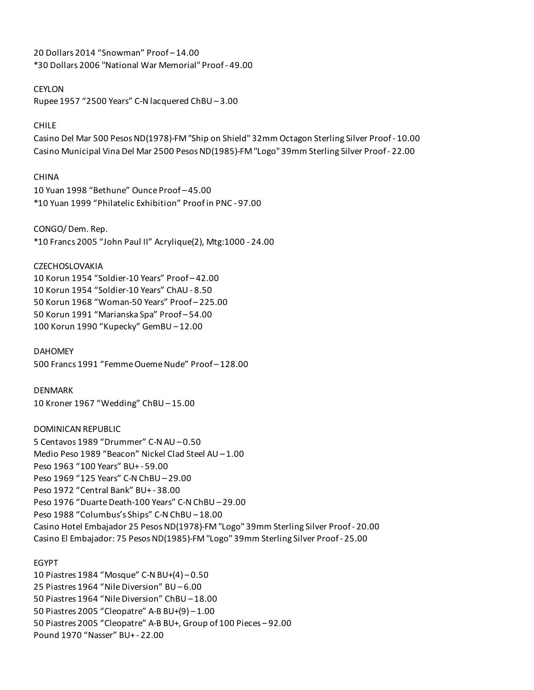20 Dollars 2014 "Snowman" Proof – 14.00 \*30 Dollars 2006 "National War Memorial" Proof - 49.00

### CEYLON

Rupee 1957 "2500 Years" C-N lacquered ChBU – 3.00

### CHILE

Casino Del Mar 500 Pesos ND(1978)-FM "Ship on Shield" 32mm Octagon Sterling Silver Proof - 10.00 Casino Municipal Vina Del Mar 2500 Pesos ND(1985)-FM "Logo" 39mm Sterling Silver Proof - 22.00

### CHINA

10 Yuan 1998 "Bethune" Ounce Proof – 45.00 \*10 Yuan 1999 "Philatelic Exhibition" Proof in PNC - 97.00

CONGO/ Dem. Rep.

\*10 Francs 2005 "John Paul II" Acrylique(2), Mtg:1000 - 24.00

#### **CZECHOSLOVAKIA**

10 Korun 1954 "Soldier-10 Years" Proof – 42.00 10 Korun 1954 "Soldier-10 Years" ChAU - 8.50 50 Korun 1968 "Woman-50 Years" Proof – 225.00 50 Korun 1991 "Marianska Spa" Proof – 54.00 100 Korun 1990 "Kupecky" GemBU – 12.00

DAHOMEY 500 Francs 1991 "Femme Oueme Nude" Proof – 128.00

### DENMARK

10 Kroner 1967 "Wedding" ChBU – 15.00

# DOMINICAN REPUBLIC

5 Centavos 1989 "Drummer" C-N AU – 0.50 Medio Peso 1989 "Beacon" Nickel Clad Steel AU – 1.00 Peso 1963 "100 Years" BU+ - 59.00 Peso 1969 "125 Years" C-N ChBU – 29.00 Peso 1972 "Central Bank" BU+ - 38.00 Peso 1976 "Duarte Death-100 Years" C-N ChBU – 29.00 Peso 1988 "Columbus's Ships" C-N ChBU – 18.00 Casino Hotel Embajador 25 Pesos ND(1978)-FM "Logo" 39mm Sterling Silver Proof - 20.00 Casino El Embajador: 75 Pesos ND(1985)-FM "Logo" 39mm Sterling Silver Proof - 25.00

### EGYPT

10 Piastres 1984 "Mosque" C-N BU+(4) – 0.50 25 Piastres 1964 "Nile Diversion" BU – 6.00 50 Piastres 1964 "Nile Diversion" ChBU – 18.00 50 Piastres 2005 "Cleopatre" A-B BU+(9) – 1.00 50 Piastres 2005 "Cleopatre" A-B BU+, Group of 100 Pieces – 92.00 Pound 1970 "Nasser" BU+ - 22.00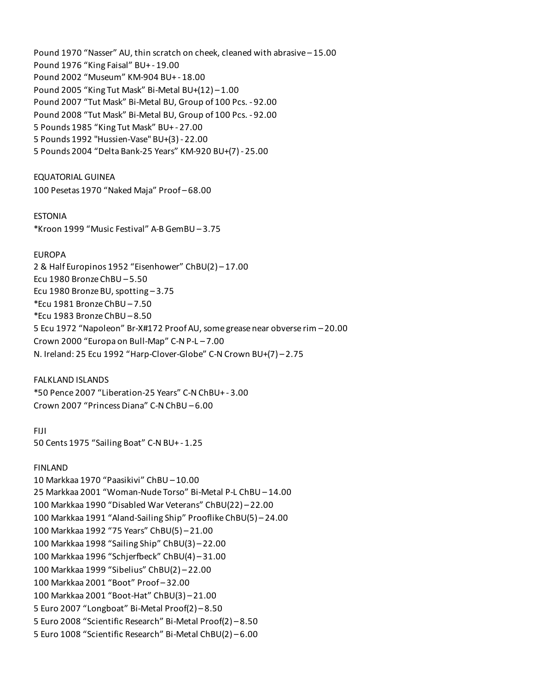Pound 1970 "Nasser" AU, thin scratch on cheek, cleaned with abrasive – 15.00 Pound 1976 "King Faisal" BU+ - 19.00 Pound 2002 "Museum" KM-904 BU+ - 18.00 Pound 2005 "King Tut Mask" Bi-Metal BU+(12) – 1.00 Pound 2007 "Tut Mask" Bi-Metal BU, Group of 100 Pcs. - 92.00 Pound 2008 "Tut Mask" Bi-Metal BU, Group of 100 Pcs. - 92.00 5 Pounds 1985 "King Tut Mask" BU+ - 27.00 5 Pounds 1992 "Hussien-Vase" BU+(3) - 22.00 5 Pounds 2004 "Delta Bank-25 Years" KM-920 BU+(7) - 25.00

EQUATORIAL GUINEA 100 Pesetas 1970 "Naked Maja" Proof – 68.00

ESTONIA

\*Kroon 1999 "Music Festival" A-B GemBU – 3.75

#### EUROPA

2 & Half Europinos 1952 "Eisenhower" ChBU(2) – 17.00 Ecu 1980 Bronze ChBU – 5.50 Ecu 1980 Bronze BU, spotting – 3.75 \*Ecu 1981 Bronze ChBU – 7.50 \*Ecu 1983 Bronze ChBU – 8.50 5 Ecu 1972 "Napoleon" Br-X#172 Proof AU, some grease near obverse rim – 20.00 Crown 2000 "Europa on Bull-Map" C-N P-L – 7.00 N. Ireland: 25 Ecu 1992 "Harp-Clover-Globe" C-N Crown BU+(7) – 2.75

### FALKLAND ISLANDS

\*50 Pence 2007 "Liberation-25 Years" C-N ChBU+ - 3.00 Crown 2007 "Princess Diana" C-N ChBU – 6.00

FIJI

50 Cents 1975 "Sailing Boat" C-N BU+ - 1.25

#### FINLAND

10 Markkaa 1970 "Paasikivi" ChBU – 10.00 25 Markkaa 2001 "Woman-Nude Torso" Bi-Metal P-L ChBU – 14.00 100 Markkaa 1990 "Disabled War Veterans" ChBU(22) – 22.00 100 Markkaa 1991 "Aland-Sailing Ship" Prooflike ChBU(5) – 24.00 100 Markkaa 1992 "75 Years" ChBU(5) – 21.00 100 Markkaa 1998 "Sailing Ship" ChBU(3) – 22.00 100 Markkaa 1996 "Schjerfbeck" ChBU(4) – 31.00 100 Markkaa 1999 "Sibelius" ChBU(2) – 22.00 100 Markkaa 2001 "Boot" Proof – 32.00 100 Markkaa 2001 "Boot-Hat" ChBU(3) – 21.00 5 Euro 2007 "Longboat" Bi-Metal Proof(2) – 8.50 5 Euro 2008 "Scientific Research" Bi-Metal Proof(2) – 8.50 5 Euro 1008 "Scientific Research" Bi-Metal ChBU(2) – 6.00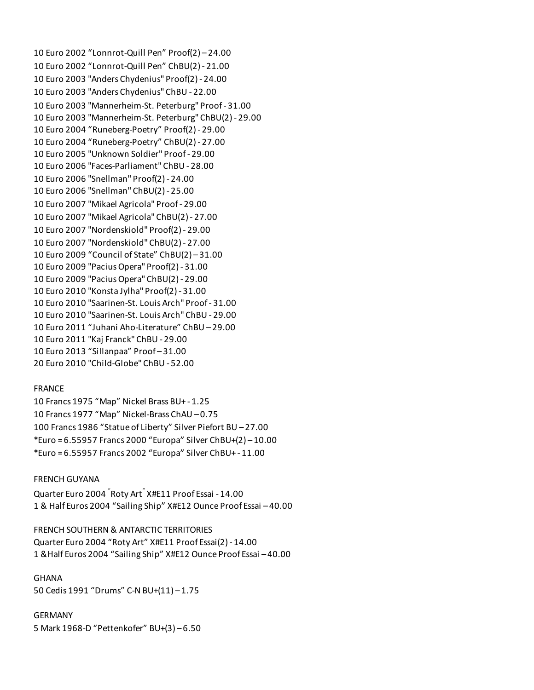10 Euro 2002 "Lonnrot-Quill Pen" Proof(2) – 24.00 10 Euro 2002 "Lonnrot-Quill Pen" ChBU(2) - 21.00 10 Euro 2003 "Anders Chydenius" Proof(2) - 24.00 10 Euro 2003 "Anders Chydenius" ChBU - 22.00 10 Euro 2003 "Mannerheim-St. Peterburg" Proof - 31.00 10 Euro 2003 "Mannerheim-St. Peterburg" ChBU(2) - 29.00 10 Euro 2004 "Runeberg-Poetry" Proof(2) - 29.00 10 Euro 2004 "Runeberg-Poetry" ChBU(2) - 27.00 10 Euro 2005 "Unknown Soldier" Proof - 29.00 10 Euro 2006 "Faces-Parliament" ChBU - 28.00 10 Euro 2006 "Snellman" Proof(2) - 24.00 10 Euro 2006 "Snellman" ChBU(2) - 25.00 10 Euro 2007 "Mikael Agricola" Proof - 29.00 10 Euro 2007 "Mikael Agricola" ChBU(2) - 27.00 10 Euro 2007 "Nordenskiold" Proof(2) - 29.00 10 Euro 2007 "Nordenskiold" ChBU(2) - 27.00 10 Euro 2009 "Council of State" ChBU(2) – 31.00 10 Euro 2009 "Pacius Opera" Proof(2) - 31.00 10 Euro 2009 "Pacius Opera" ChBU(2) - 29.00 10 Euro 2010 "Konsta Jylha" Proof(2) - 31.00 10 Euro 2010 "Saarinen-St. Louis Arch" Proof - 31.00 10 Euro 2010 "Saarinen-St. Louis Arch" ChBU - 29.00 10 Euro 2011 "Juhani Aho-Literature" ChBU – 29.00 10 Euro 2011 "Kaj Franck" ChBU - 29.00 10 Euro 2013 "Sillanpaa" Proof – 31.00 20 Euro 2010 "Child-Globe" ChBU - 52.00

### FRANCE

10 Francs 1975 "Map" Nickel Brass BU+ - 1.25 10 Francs 1977 "Map" Nickel-Brass ChAU – 0.75 100 Francs 1986 "Statue of Liberty" Silver Piefort BU – 27.00 \*Euro = 6.55957 Francs 2000 "Europa" Silver ChBU+(2) – 10.00 \*Euro = 6.55957 Francs 2002 "Europa" Silver ChBU+ - 11.00

### FRENCH GUYANA

Quarter Euro 2004 " Roty Art" X#E11 Proof Essai - 14.00 1 & Half Euros 2004 "Sailing Ship" X#E12 Ounce Proof Essai – 40.00

FRENCH SOUTHERN & ANTARCTIC TERRITORIES Quarter Euro 2004 "Roty Art" X#E11 Proof Essai(2) - 14.00 1 &Half Euros 2004 "Sailing Ship" X#E12 Ounce Proof Essai – 40.00

GHANA 50 Cedis 1991 "Drums" C-N BU+(11) – 1.75

GERMANY 5 Mark 1968-D "Pettenkofer" BU+(3) – 6.50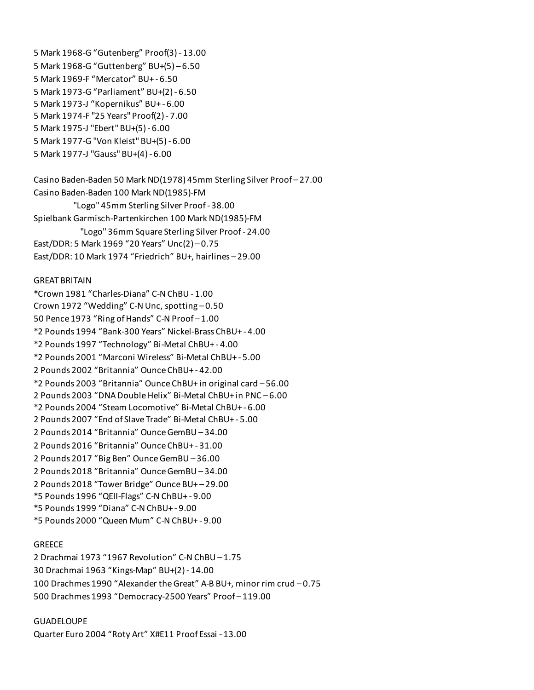5 Mark 1968-G "Gutenberg" Proof(3) - 13.00 5 Mark 1968-G "Guttenberg" BU+(5) – 6.50 5 Mark 1969-F "Mercator" BU+ - 6.50 5 Mark 1973-G "Parliament" BU+(2) - 6.50 5 Mark 1973-J "Kopernikus" BU+ - 6.00 5 Mark 1974-F "25 Years" Proof(2) - 7.00 5 Mark 1975-J "Ebert" BU+(5) - 6.00 5 Mark 1977-G "Von Kleist" BU+(5) - 6.00 5 Mark 1977-J "Gauss" BU+(4) - 6.00

Casino Baden-Baden 50 Mark ND(1978) 45mm Sterling Silver Proof – 27.00 Casino Baden-Baden 100 Mark ND(1985)-FM "Logo" 45mm Sterling Silver Proof - 38.00 Spielbank Garmisch-Partenkirchen 100 Mark ND(1985)-FM "Logo" 36mm Square Sterling Silver Proof - 24.00 East/DDR: 5 Mark 1969 "20 Years" Unc(2) – 0.75 East/DDR: 10 Mark 1974 "Friedrich" BU+, hairlines – 29.00

#### GREAT BRITAIN

\*Crown 1981 "Charles-Diana" C-N ChBU - 1.00 Crown 1972 "Wedding" C-N Unc, spotting – 0.50 50 Pence 1973 "Ring of Hands" C-N Proof – 1.00 \*2 Pounds 1994 "Bank-300 Years" Nickel-Brass ChBU+ - 4.00 \*2 Pounds 1997 "Technology" Bi-Metal ChBU+ - 4.00 \*2 Pounds 2001 "Marconi Wireless" Bi-Metal ChBU+ - 5.00 2 Pounds 2002 "Britannia" Ounce ChBU+ - 42.00 \*2 Pounds 2003 "Britannia" Ounce ChBU+ in original card – 56.00 2 Pounds 2003 "DNA Double Helix" Bi-Metal ChBU+ in PNC – 6.00 \*2 Pounds 2004 "Steam Locomotive" Bi-Metal ChBU+ - 6.00 2 Pounds 2007 "End of Slave Trade" Bi-Metal ChBU+ - 5.00 2 Pounds 2014 "Britannia" Ounce GemBU – 34.00 2 Pounds 2016 "Britannia" Ounce ChBU+ - 31.00 2 Pounds 2017 "Big Ben" Ounce GemBU – 36.00 2 Pounds 2018 "Britannia" Ounce GemBU – 34.00 2 Pounds 2018 "Tower Bridge" Ounce BU+ – 29.00 \*5 Pounds 1996 "QEII-Flags" C-N ChBU+ - 9.00 \*5 Pounds 1999 "Diana" C-N ChBU+ - 9.00 \*5 Pounds 2000 "Queen Mum" C-N ChBU+ - 9.00

### **GREECE**

2 Drachmai 1973 "1967 Revolution" C-N ChBU – 1.75 30 Drachmai 1963 "Kings-Map" BU+(2) - 14.00 100 Drachmes 1990 "Alexander the Great" A-B BU+, minor rim crud – 0.75 500 Drachmes 1993 "Democracy-2500 Years" Proof – 119.00

#### GUADELOUPE

Quarter Euro 2004 "Roty Art" X#E11 Proof Essai - 13.00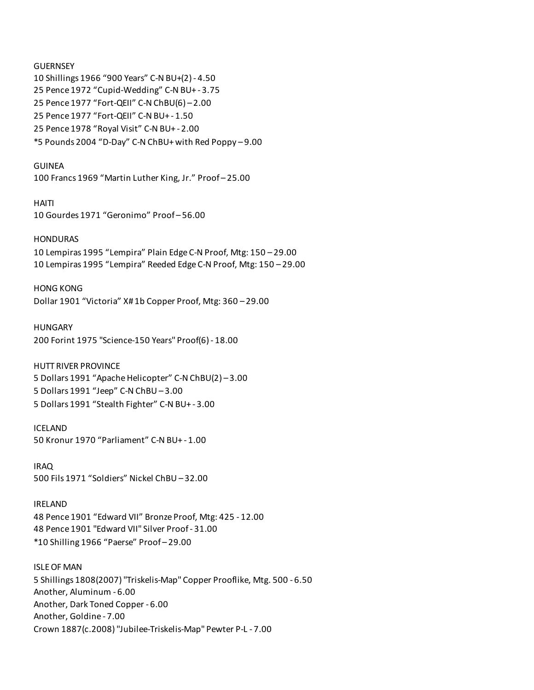**GUERNSEY** 10 Shillings 1966 "900 Years" C-N BU+(2) - 4.50 25 Pence 1972 "Cupid-Wedding" C-N BU+ - 3.75 25 Pence 1977 "Fort-QEII" C-N ChBU(6) – 2.00 25 Pence 1977 "Fort-QEII" C-N BU+ - 1.50 25 Pence 1978 "Royal Visit" C-N BU+ - 2.00 \*5 Pounds 2004 "D-Day" C-N ChBU+ with Red Poppy – 9.00

### GUINEA

100 Francs 1969 "Martin Luther King, Jr." Proof – 25.00

HAITI 10 Gourdes 1971 "Geronimo" Proof – 56.00

### **HONDURAS**

10 Lempiras 1995 "Lempira" Plain Edge C-N Proof, Mtg: 150 – 29.00 10 Lempiras 1995 "Lempira" Reeded Edge C-N Proof, Mtg: 150 – 29.00

HONG KONG

Dollar 1901 "Victoria" X# 1b Copper Proof, Mtg: 360 – 29.00

HUNGARY 200 Forint 1975 "Science-150 Years" Proof(6) - 18.00

HUTT RIVER PROVINCE 5 Dollars 1991 "Apache Helicopter" C-N ChBU(2) – 3.00 5 Dollars 1991 "Jeep" C-N ChBU – 3.00 5 Dollars 1991 "Stealth Fighter" C-N BU+ - 3.00

ICELAND 50 Kronur 1970 "Parliament" C-N BU+ - 1.00

IRAQ 500 Fils 1971 "Soldiers" Nickel ChBU – 32.00

IRELAND 48 Pence 1901 "Edward VII" Bronze Proof, Mtg: 425 - 12.00 48 Pence 1901 "Edward VII" Silver Proof - 31.00 \*10 Shilling 1966 "Paerse" Proof – 29.00

ISLE OF MAN 5 Shillings 1808(2007) "Triskelis-Map" Copper Prooflike, Mtg. 500 - 6.50 Another, Aluminum - 6.00 Another, Dark Toned Copper - 6.00 Another, Goldine - 7.00 Crown 1887(c.2008) "Jubilee-Triskelis-Map" Pewter P-L - 7.00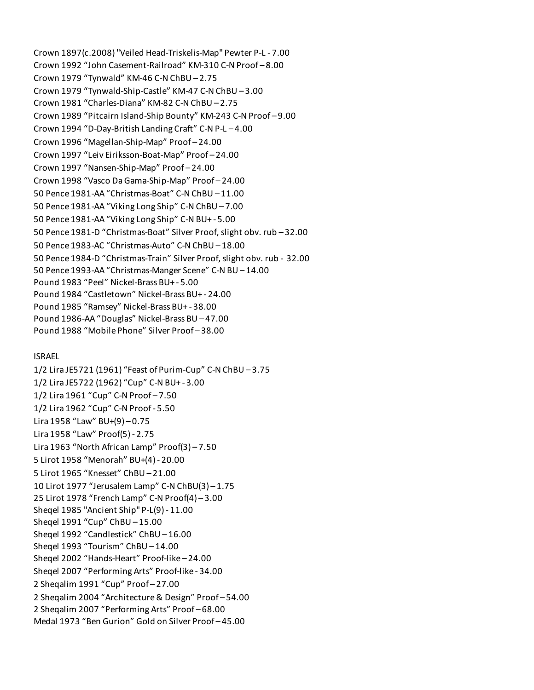Crown 1897(c.2008) "Veiled Head-Triskelis-Map" Pewter P-L - 7.00 Crown 1992 "John Casement-Railroad" KM-310 C-N Proof – 8.00 Crown 1979 "Tynwald" KM-46 C-N ChBU – 2.75 Crown 1979 "Tynwald-Ship-Castle" KM-47 C-N ChBU – 3.00 Crown 1981 "Charles-Diana" KM-82 C-N ChBU – 2.75 Crown 1989 "Pitcairn Island-Ship Bounty" KM-243 C-N Proof – 9.00 Crown 1994 "D-Day-British Landing Craft" C-N P-L – 4.00 Crown 1996 "Magellan-Ship-Map" Proof – 24.00 Crown 1997 "Leiv Eiriksson-Boat-Map" Proof – 24.00 Crown 1997 "Nansen-Ship-Map" Proof – 24.00 Crown 1998 "Vasco Da Gama-Ship-Map" Proof – 24.00 50 Pence 1981-AA "Christmas-Boat" C-N ChBU – 11.00 50 Pence 1981-AA "Viking Long Ship" C-N ChBU – 7.00 50 Pence 1981-AA "Viking Long Ship" C-N BU+ - 5.00 50 Pence 1981-D "Christmas-Boat" Silver Proof, slight obv. rub – 32.00 50 Pence 1983-AC "Christmas-Auto" C-N ChBU – 18.00 50 Pence 1984-D "Christmas-Train" Silver Proof, slight obv. rub - 32.00 50 Pence 1993-AA "Christmas-Manger Scene" C-N BU – 14.00 Pound 1983 "Peel" Nickel-Brass BU+ - 5.00 Pound 1984 "Castletown" Nickel-Brass BU+ - 24.00 Pound 1985 "Ramsey" Nickel-Brass BU+ - 38.00 Pound 1986-AA "Douglas" Nickel-Brass BU – 47.00 Pound 1988 "Mobile Phone" Silver Proof – 38.00

### ISRAEL

1/2 Lira JE5721 (1961) "Feast of Purim-Cup" C-N ChBU – 3.75 1/2 Lira JE5722 (1962) "Cup" C-N BU+ - 3.00 1/2 Lira 1961 "Cup" C-N Proof – 7.50 1/2 Lira 1962 "Cup" C-N Proof - 5.50 Lira 1958 "Law" BU+(9) – 0.75 Lira 1958 "Law" Proof(5) - 2.75 Lira 1963 "North African Lamp" Proof(3) – 7.50 5 Lirot 1958 "Menorah" BU+(4) - 20.00 5 Lirot 1965 "Knesset" ChBU – 21.00 10 Lirot 1977 "Jerusalem Lamp" C-N ChBU(3) – 1.75 25 Lirot 1978 "French Lamp" C-N Proof(4) – 3.00 Sheqel 1985 "Ancient Ship" P-L(9) - 11.00 Sheqel 1991 "Cup" ChBU – 15.00 Sheqel 1992 "Candlestick" ChBU – 16.00 Sheqel 1993 "Tourism" ChBU – 14.00 Sheqel 2002 "Hands-Heart" Proof-like – 24.00 Sheqel 2007 "Performing Arts" Proof-like - 34.00 2 Sheqalim 1991 "Cup" Proof – 27.00 2 Sheqalim 2004 "Architecture & Design" Proof – 54.00 2 Sheqalim 2007 "Performing Arts" Proof – 68.00 Medal 1973 "Ben Gurion" Gold on Silver Proof – 45.00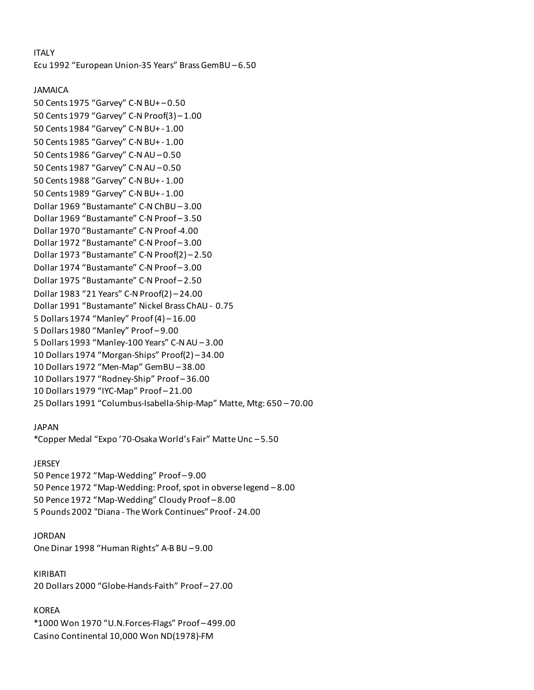## ITALY

Ecu 1992 "European Union-35 Years" Brass GemBU – 6.50

### JAMAICA

50 Cents 1975 "Garvey" C-N BU+ – 0.50 50 Cents 1979 "Garvey" C-N Proof(3) – 1.00 50 Cents 1984 "Garvey" C-N BU+ - 1.00 50 Cents 1985 "Garvey" C-N BU+ - 1.00 50 Cents 1986 "Garvey" C-N AU – 0.50 50 Cents 1987 "Garvey" C-N AU – 0.50 50 Cents 1988 "Garvey" C-N BU+ - 1.00 50 Cents 1989 "Garvey" C-N BU+ - 1.00 Dollar 1969 "Bustamante" C-N ChBU – 3.00 Dollar 1969 "Bustamante" C-N Proof – 3.50 Dollar 1970 "Bustamante" C-N Proof -4.00 Dollar 1972 "Bustamante" C-N Proof – 3.00 Dollar 1973 "Bustamante" C-N Proof(2) – 2.50 Dollar 1974 "Bustamante" C-N Proof – 3.00 Dollar 1975 "Bustamante" C-N Proof – 2.50 Dollar 1983 "21 Years" C-N Proof(2) – 24.00 Dollar 1991 "Bustamante" Nickel Brass ChAU - 0.75 5 Dollars 1974 "Manley" Proof (4) – 16.00 5 Dollars 1980 "Manley" Proof – 9.00 5 Dollars 1993 "Manley-100 Years" C-N AU – 3.00 10 Dollars 1974 "Morgan-Ships" Proof(2) – 34.00 10 Dollars 1972 "Men-Map" GemBU – 38.00 10 Dollars 1977 "Rodney-Ship" Proof – 36.00 10 Dollars 1979 "IYC-Map" Proof – 21.00 25 Dollars 1991 "Columbus-Isabella-Ship-Map" Matte, Mtg: 650 – 70.00

### JAPAN

\*Copper Medal "Expo '70-Osaka World's Fair" Matte Unc – 5.50

### JERSEY

50 Pence 1972 "Map-Wedding" Proof – 9.00 50 Pence 1972 "Map-Wedding: Proof, spot in obverse legend – 8.00 50 Pence 1972 "Map-Wedding" Cloudy Proof – 8.00 5 Pounds 2002 "Diana - The Work Continues" Proof - 24.00

### JORDAN

One Dinar 1998 "Human Rights" A-B BU – 9.00

KIRIBATI 20 Dollars 2000 "Globe-Hands-Faith" Proof – 27.00

## KOREA

\*1000 Won 1970 "U.N.Forces-Flags" Proof – 499.00 Casino Continental 10,000 Won ND(1978)-FM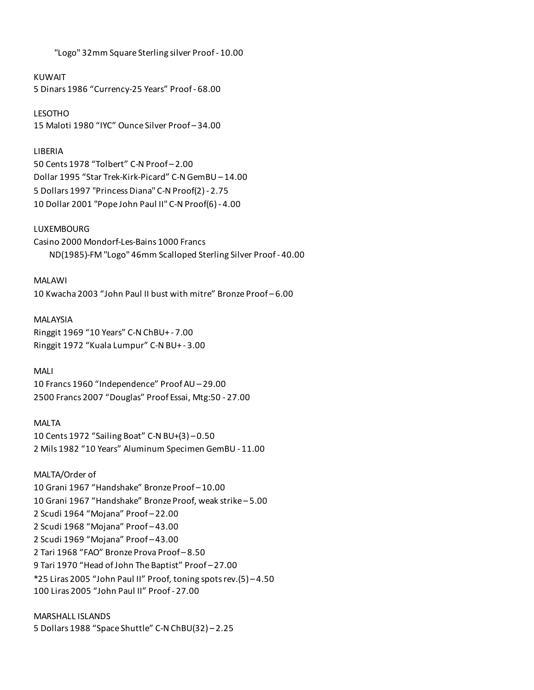"Logo" 32mm Square Sterling silver Proof - 10.00

KUWAIT

5 Dinars 1986 "Currency-25 Years" Proof - 68.00

LESOTHO 15 Maloti 1980 "IYC" Ounce Silver Proof – 34.00

## LIBERIA

50 Cents 1978 "Tolbert" C-N Proof – 2.00 Dollar 1995 "Star Trek-Kirk-Picard" C-N GemBU – 14.00 5 Dollars 1997 "Princess Diana" C-N Proof(2) - 2.75 10 Dollar 2001 "Pope John Paul II" C-N Proof(6) - 4.00

## LUXEMBOURG

Casino 2000 Mondorf-Les-Bains 1000 Francs ND(1985)-FM "Logo" 46mm Scalloped Sterling Silver Proof - 40.00

MALAWI 10 Kwacha 2003 "John Paul II bust with mitre" Bronze Proof – 6.00

MALAYSIA Ringgit 1969 "10 Years" C-N ChBU+ - 7.00 Ringgit 1972 "Kuala Lumpur" C-N BU+ - 3.00

MALI

10 Francs 1960 "Independence" Proof AU – 29.00 2500 Francs 2007 "Douglas" Proof Essai, Mtg:50 - 27.00

## MALTA

10 Cents 1972 "Sailing Boat" C-N BU+(3) – 0.50 2 Mils 1982 "10 Years" Aluminum Specimen GemBU - 11.00

MALTA/Order of 10 Grani 1967 "Handshake" Bronze Proof – 10.00 10 Grani 1967 "Handshake" Bronze Proof, weak strike – 5.00 2 Scudi 1964 "Mojana" Proof – 22.00 2 Scudi 1968 "Mojana" Proof – 43.00 2 Scudi 1969 "Mojana" Proof – 43.00 2 Tari 1968 "FAO" Bronze Prova Proof – 8.50 9 Tari 1970 "Head of John The Baptist" Proof – 27.00 \*25 Liras 2005 "John Paul II" Proof, toning spots rev.(5) – 4.50 100 Liras 2005 "John Paul II" Proof - 27.00

MARSHALL ISLANDS 5 Dollars 1988 "Space Shuttle" C-N ChBU(32) – 2.25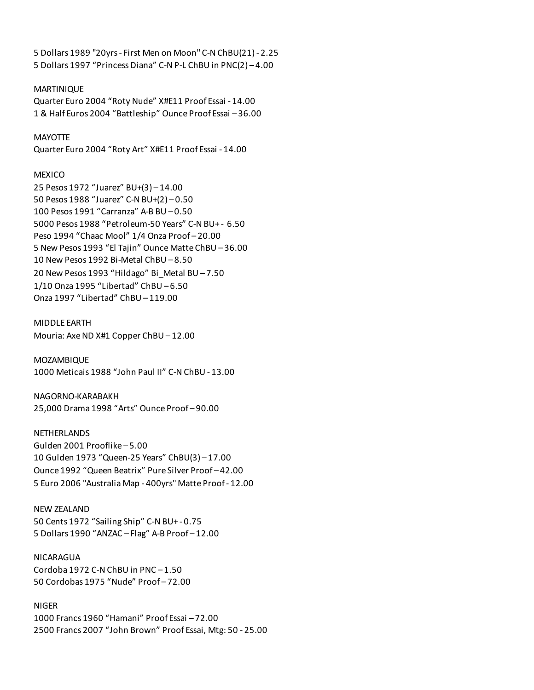5 Dollars 1989 "20yrs - First Men on Moon" C-N ChBU(21) - 2.25 5 Dollars 1997 "Princess Diana" C-N P-L ChBU in PNC(2) – 4.00

### MARTINIQUE

Quarter Euro 2004 "Roty Nude" X#E11 Proof Essai - 14.00 1 & Half Euros 2004 "Battleship" Ounce Proof Essai – 36.00

#### **MAYOTTE**

Quarter Euro 2004 "Roty Art" X#E11 Proof Essai - 14.00

#### **MEXICO**

25 Pesos 1972 "Juarez" BU+(3) – 14.00 50 Pesos 1988 "Juarez" C-N BU+(2) – 0.50 100 Pesos 1991 "Carranza" A-B BU – 0.50 5000 Pesos 1988 "Petroleum-50 Years" C-N BU+ - 6.50 Peso 1994 "Chaac Mool" 1/4 Onza Proof – 20.00 5 New Pesos 1993 "El Tajin" Ounce Matte ChBU – 36.00 10 New Pesos 1992 Bi-Metal ChBU – 8.50 20 New Pesos 1993 "Hildago" Bi\_Metal BU – 7.50 1/10 Onza 1995 "Libertad" ChBU – 6.50 Onza 1997 "Libertad" ChBU – 119.00

MIDDLE EARTH Mouria: Axe ND X#1 Copper ChBU – 12.00

MOZAMBIQUE 1000 Meticais 1988 "John Paul II" C-N ChBU - 13.00

NAGORNO-KARABAKH 25,000 Drama 1998 "Arts" Ounce Proof – 90.00

NETHERLANDS Gulden 2001 Prooflike – 5.00 10 Gulden 1973 "Queen-25 Years" ChBU(3) – 17.00 Ounce 1992 "Queen Beatrix" Pure Silver Proof – 42.00 5 Euro 2006 "Australia Map - 400yrs" Matte Proof - 12.00

NEW ZEALAND 50 Cents 1972 "Sailing Ship" C-N BU+ - 0.75 5 Dollars 1990 "ANZAC – Flag" A-B Proof – 12.00

NICARAGUA Cordoba 1972 C-N ChBU in PNC – 1.50 50 Cordobas 1975 "Nude" Proof – 72.00

NIGER 1000 Francs 1960 "Hamani" Proof Essai – 72.00 2500 Francs 2007 "John Brown" Proof Essai, Mtg: 50 - 25.00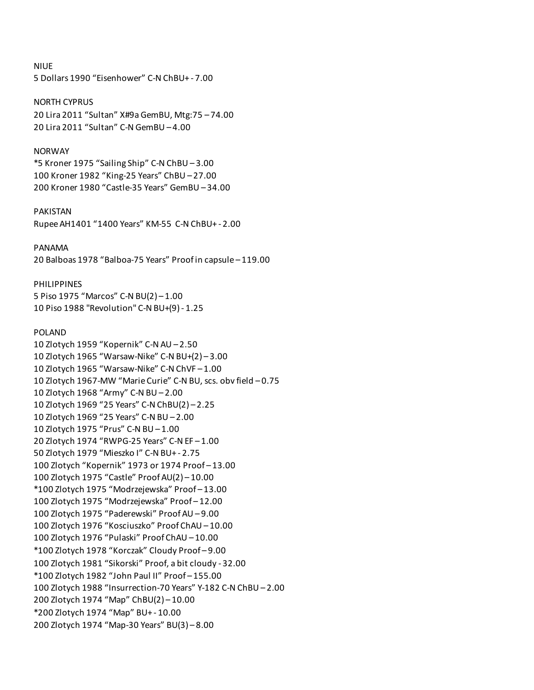NIUE 5 Dollars 1990 "Eisenhower" C-N ChBU+ - 7.00 NORTH CYPRUS 20 Lira 2011 "Sultan" X#9a GemBU, Mtg:75 – 74.00 20 Lira 2011 "Sultan" C-N GemBU – 4.00 NORWAY \*5 Kroner 1975 "Sailing Ship" C-N ChBU – 3.00 100 Kroner 1982 "King-25 Years" ChBU – 27.00 200 Kroner 1980 "Castle-35 Years" GemBU – 34.00 PAKISTAN Rupee AH1401 "1400 Years" KM-55 C-N ChBU+ - 2.00 PANAMA 20 Balboas 1978 "Balboa-75 Years" Proof in capsule – 119.00 PHILIPPINES 5 Piso 1975 "Marcos" C-N BU(2) – 1.00 10 Piso 1988 "Revolution" C-N BU+(9) - 1.25 POLAND 10 Zlotych 1959 "Kopernik" C-N AU – 2.50 10 Zlotych 1965 "Warsaw-Nike" C-N BU+(2) – 3.00 10 Zlotych 1965 "Warsaw-Nike" C-N ChVF – 1.00 10 Zlotych 1967-MW "Marie Curie" C-N BU, scs. obv field – 0.75 10 Zlotych 1968 "Army" C-N BU – 2.00 10 Zlotych 1969 "25 Years" C-N ChBU(2) – 2.25 10 Zlotych 1969 "25 Years" C-N BU – 2.00 10 Zlotych 1975 "Prus" C-N BU – 1.00 20 Zlotych 1974 "RWPG-25 Years" C-N EF – 1.00 50 Zlotych 1979 "Mieszko I" C-N BU+ - 2.75 100 Zlotych "Kopernik" 1973 or 1974 Proof – 13.00 100 Zlotych 1975 "Castle" Proof AU(2) – 10.00 \*100 Zlotych 1975 "Modrzejewska" Proof – 13.00 100 Zlotych 1975 "Modrzejewska" Proof – 12.00 100 Zlotych 1975 "Paderewski" Proof AU – 9.00 100 Zlotych 1976 "Kosciuszko" Proof ChAU – 10.00 100 Zlotych 1976 "Pulaski" Proof ChAU – 10.00 \*100 Zlotych 1978 "Korczak" Cloudy Proof – 9.00 100 Zlotych 1981 "Sikorski" Proof, a bit cloudy - 32.00 \*100 Zlotych 1982 "John Paul II" Proof – 155.00 100 Zlotych 1988 "Insurrection-70 Years" Y-182 C-N ChBU – 2.00

200 Zlotych 1974 "Map" ChBU(2) – 10.00

\*200 Zlotych 1974 "Map" BU+ - 10.00

200 Zlotych 1974 "Map-30 Years" BU(3) – 8.00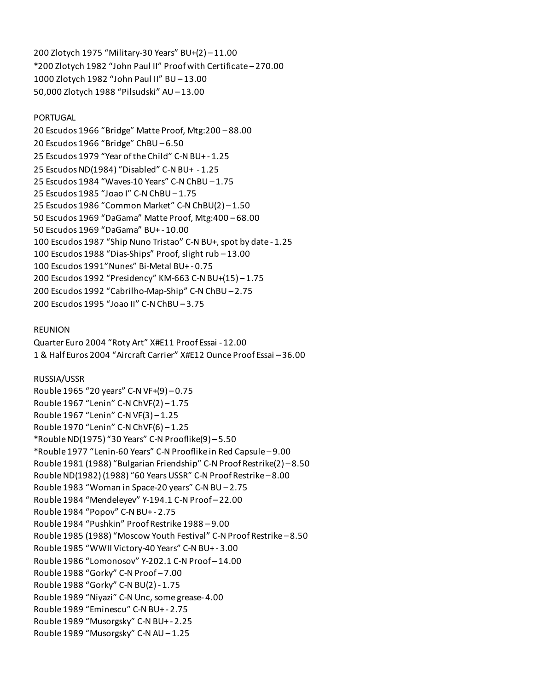200 Zlotych 1975 "Military-30 Years" BU+(2) – 11.00 \*200 Zlotych 1982 "John Paul II" Proof with Certificate – 270.00 1000 Zlotych 1982 "John Paul II" BU – 13.00 50,000 Zlotych 1988 "Pilsudski" AU – 13.00

### PORTUGAL

20 Escudos 1966 "Bridge" Matte Proof, Mtg:200 – 88.00 20 Escudos 1966 "Bridge" ChBU – 6.50 25 Escudos 1979 "Year of the Child" C-N BU+ - 1.25 25 Escudos ND(1984) "Disabled" C-N BU+ - 1.25 25 Escudos 1984 "Waves-10 Years" C-N ChBU – 1.75 25 Escudos 1985 "Joao I" C-N ChBU – 1.75 25 Escudos 1986 "Common Market" C-N ChBU(2) – 1.50 50 Escudos 1969 "DaGama" Matte Proof, Mtg:400 – 68.00 50 Escudos 1969 "DaGama" BU+ - 10.00 100 Escudos 1987 "Ship Nuno Tristao" C-N BU+, spot by date - 1.25 100 Escudos 1988 "Dias-Ships" Proof, slight rub – 13.00 100 Escudos 1991"Nunes" Bi-Metal BU+ - 0.75 200 Escudos 1992 "Presidency" KM-663 C-N BU+(15) – 1.75 200 Escudos 1992 "Cabrilho-Map-Ship" C-N ChBU – 2.75 200 Escudos 1995 "Joao II" C-N ChBU – 3.75

### REUNION

Quarter Euro 2004 "Roty Art" X#E11 Proof Essai - 12.00 1 & Half Euros 2004 "Aircraft Carrier" X#E12 Ounce Proof Essai – 36.00

#### RUSSIA/USSR

Rouble 1965 "20 years" C-N VF+(9) – 0.75 Rouble 1967 "Lenin" C-N ChVF(2) – 1.75 Rouble 1967 "Lenin" C-N VF(3) – 1.25 Rouble 1970 "Lenin" C-N ChVF(6) – 1.25 \*Rouble ND(1975) "30 Years" C-N Prooflike(9) – 5.50 \*Rouble 1977 "Lenin-60 Years" C-N Prooflike in Red Capsule – 9.00 Rouble 1981 (1988) "Bulgarian Friendship" C-N Proof Restrike(2) – 8.50 Rouble ND(1982) (1988) "60 Years USSR" C-N Proof Restrike – 8.00 Rouble 1983 "Woman in Space-20 years" C-N BU – 2.75 Rouble 1984 "Mendeleyev" Y-194.1 C-N Proof – 22.00 Rouble 1984 "Popov" C-N BU+ - 2.75 Rouble 1984 "Pushkin" Proof Restrike 1988 – 9.00 Rouble 1985 (1988) "Moscow Youth Festival" C-N Proof Restrike – 8.50 Rouble 1985 "WWII Victory-40 Years" C-N BU+ - 3.00 Rouble 1986 "Lomonosov" Y-202.1 C-N Proof – 14.00 Rouble 1988 "Gorky" C-N Proof – 7.00 Rouble 1988 "Gorky" C-N BU(2) - 1.75 Rouble 1989 "Niyazi" C-N Unc, some grease- 4.00 Rouble 1989 "Eminescu" C-N BU+ - 2.75 Rouble 1989 "Musorgsky" C-N BU+ - 2.25 Rouble 1989 "Musorgsky" C-N AU – 1.25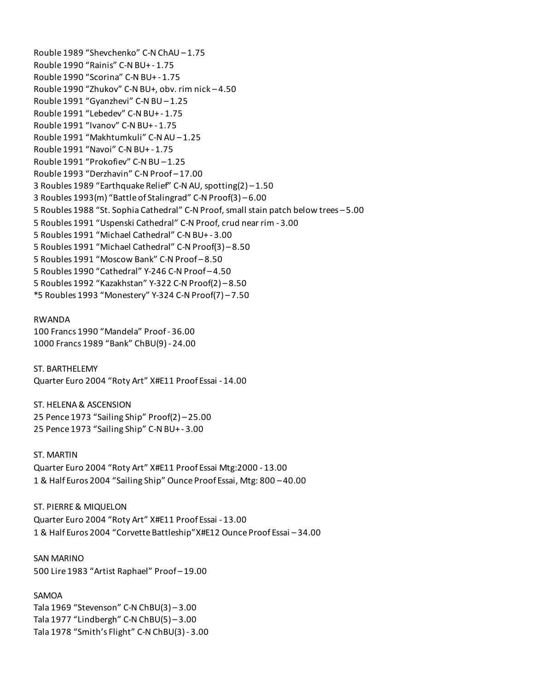Rouble 1989 "Shevchenko" C-N ChAU – 1.75 Rouble 1990 "Rainis" C-N BU+ - 1.75 Rouble 1990 "Scorina" C-N BU+ - 1.75 Rouble 1990 "Zhukov" C-N BU+, obv. rim nick – 4.50 Rouble 1991 "Gyanzhevi" C-N BU – 1.25 Rouble 1991 "Lebedev" C-N BU+ - 1.75 Rouble 1991 "Ivanov" C-N BU+ - 1.75 Rouble 1991 "Makhtumkuli" C-N AU – 1.25 Rouble 1991 "Navoi" C-N BU+ - 1.75 Rouble 1991 "Prokofiev" C-N BU – 1.25 Rouble 1993 "Derzhavin" C-N Proof – 17.00 3 Roubles 1989 "Earthquake Relief" C-N AU, spotting(2) – 1.50 3 Roubles 1993(m) "Battle of Stalingrad" C-N Proof(3) – 6.00 5 Roubles 1988 "St. Sophia Cathedral" C-N Proof, small stain patch below trees – 5.00 5 Roubles 1991 "Uspenski Cathedral" C-N Proof, crud near rim - 3.00 5 Roubles 1991 "Michael Cathedral" C-N BU+ - 3.00 5 Roubles 1991 "Michael Cathedral" C-N Proof(3) – 8.50 5 Roubles 1991 "Moscow Bank" C-N Proof – 8.50 5 Roubles 1990 "Cathedral" Y-246 C-N Proof – 4.50 5 Roubles 1992 "Kazakhstan" Y-322 C-N Proof(2) – 8.50 \*5 Roubles 1993 "Monestery" Y-324 C-N Proof(7) – 7.50

RWANDA 100 Francs 1990 "Mandela" Proof - 36.00 1000 Francs 1989 "Bank" ChBU(9) - 24.00

ST. BARTHELEMY Quarter Euro 2004 "Roty Art" X#E11 Proof Essai - 14.00

ST. HELENA & ASCENSION 25 Pence 1973 "Sailing Ship" Proof(2) – 25.00 25 Pence 1973 "Sailing Ship" C-N BU+ - 3.00

ST. MARTIN Quarter Euro 2004 "Roty Art" X#E11 Proof Essai Mtg:2000 - 13.00 1 & Half Euros 2004 "Sailing Ship" Ounce Proof Essai, Mtg: 800 – 40.00

ST. PIERRE & MIQUELON Quarter Euro 2004 "Roty Art" X#E11 Proof Essai - 13.00 1 & Half Euros 2004 "Corvette Battleship"X#E12 Ounce Proof Essai – 34.00

SAN MARINO 500 Lire 1983 "Artist Raphael" Proof – 19.00

SAMOA Tala 1969 "Stevenson" C-N ChBU(3) – 3.00 Tala 1977 "Lindbergh" C-N ChBU(5) – 3.00 Tala 1978 "Smith's Flight" C-N ChBU(3) - 3.00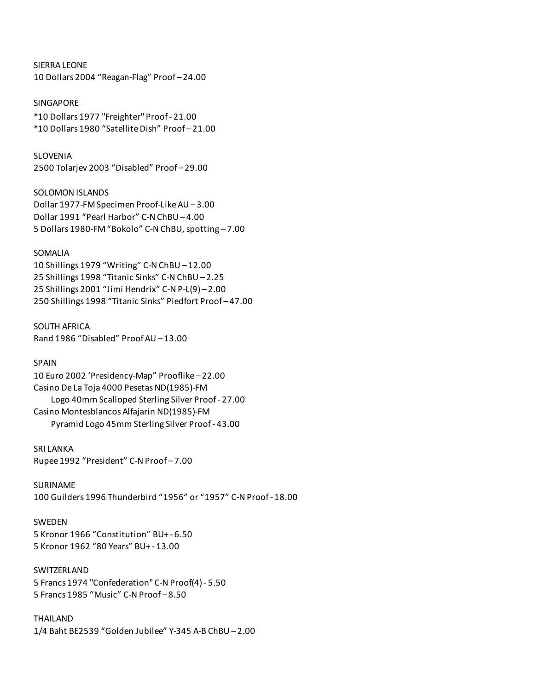SIERRA LEONE 10 Dollars 2004 "Reagan-Flag" Proof – 24.00

SINGAPORE \*10 Dollars 1977 "Freighter" Proof - 21.00 \*10 Dollars 1980 "Satellite Dish" Proof – 21.00

SLOVENIA 2500 Tolarjev 2003 "Disabled" Proof – 29.00

SOLOMON ISLANDS Dollar 1977-FM Specimen Proof-Like AU – 3.00 Dollar 1991 "Pearl Harbor" C-N ChBU – 4.00 5 Dollars 1980-FM "Bokolo" C-N ChBU, spotting – 7.00

### SOMALIA

10 Shillings 1979 "Writing" C-N ChBU – 12.00 25 Shillings 1998 "Titanic Sinks" C-N ChBU – 2.25 25 Shillings 2001 "Jimi Hendrix" C-N P-L(9) – 2.00 250 Shillings 1998 "Titanic Sinks" Piedfort Proof – 47.00

SOUTH AFRICA Rand 1986 "Disabled" Proof AU – 13.00

SPAIN 10 Euro 2002 'Presidency-Map" Prooflike – 22.00 Casino De La Toja 4000 Pesetas ND(1985)-FM Logo 40mm Scalloped Sterling Silver Proof - 27.00 Casino Montesblancos Alfajarin ND(1985)-FM Pyramid Logo 45mm Sterling Silver Proof - 43.00

SRI LANKA Rupee 1992 "President" C-N Proof – 7.00

SURINAME 100 Guilders 1996 Thunderbird "1956" or "1957" C-N Proof - 18.00

SWEDEN 5 Kronor 1966 "Constitution" BU+ - 6.50 5 Kronor 1962 "80 Years" BU+ - 13.00

SWITZERLAND 5 Francs 1974 "Confederation" C-N Proof(4) - 5.50 5 Francs 1985 "Music" C-N Proof – 8.50

THAILAND 1/4 Baht BE2539 "Golden Jubilee" Y-345 A-B ChBU – 2.00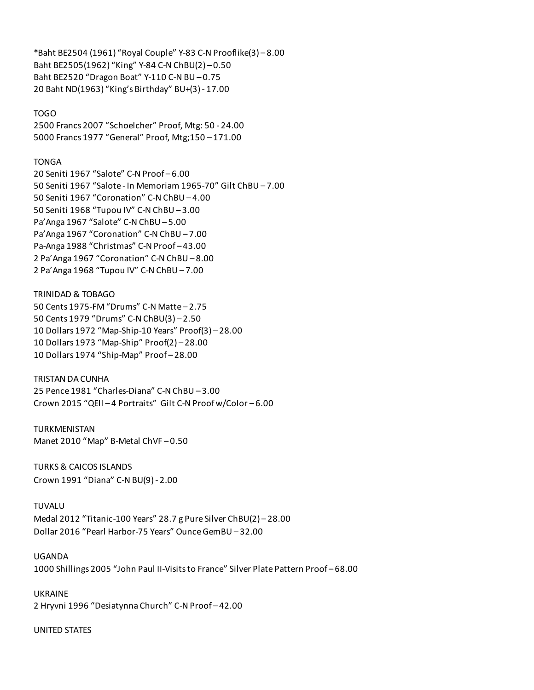\*Baht BE2504 (1961) "Royal Couple" Y-83 C-N Prooflike(3) – 8.00 Baht BE2505(1962) "King" Y-84 C-N ChBU(2) – 0.50 Baht BE2520 "Dragon Boat" Y-110 C-N BU – 0.75 20 Baht ND(1963) "King's Birthday" BU+(3) - 17.00

#### TOGO

2500 Francs 2007 "Schoelcher" Proof, Mtg: 50 - 24.00 5000 Francs 1977 "General" Proof, Mtg;150 – 171.00

#### TONGA

20 Seniti 1967 "Salote" C-N Proof – 6.00 50 Seniti 1967 "Salote - In Memoriam 1965-70" Gilt ChBU – 7.00 50 Seniti 1967 "Coronation" C-N ChBU – 4.00 50 Seniti 1968 "Tupou IV" C-N ChBU – 3.00 Pa'Anga 1967 "Salote" C-N ChBU – 5.00 Pa'Anga 1967 "Coronation" C-N ChBU – 7.00 Pa-Anga 1988 "Christmas" C-N Proof – 43.00 2 Pa'Anga 1967 "Coronation" C-N ChBU – 8.00 2 Pa'Anga 1968 "Tupou IV" C-N ChBU – 7.00

#### TRINIDAD & TOBAGO

50 Cents 1975-FM "Drums" C-N Matte – 2.75 50 Cents 1979 "Drums" C-N ChBU(3) – 2.50 10 Dollars 1972 "Map-Ship-10 Years" Proof(3) – 28.00 10 Dollars 1973 "Map-Ship" Proof(2) – 28.00 10 Dollars 1974 "Ship-Map" Proof – 28.00

#### TRISTAN DA CUNHA

25 Pence 1981 "Charles-Diana" C-N ChBU – 3.00 Crown 2015 "QEII – 4 Portraits" Gilt C-N Proof w/Color – 6.00

TURKMENISTAN Manet 2010 "Map" B-Metal ChVF – 0.50

TURKS & CAICOS ISLANDS Crown 1991 "Diana" C-N BU(9) - 2.00

#### TUVALU

Medal 2012 "Titanic-100 Years" 28.7 g Pure Silver ChBU(2) – 28.00 Dollar 2016 "Pearl Harbor-75 Years" Ounce GemBU – 32.00

#### UGANDA

1000 Shillings 2005 "John Paul II-Visits to France" Silver Plate Pattern Proof – 68.00

UKRAINE 2 Hryvni 1996 "Desiatynna Church" C-N Proof – 42.00

#### UNITED STATES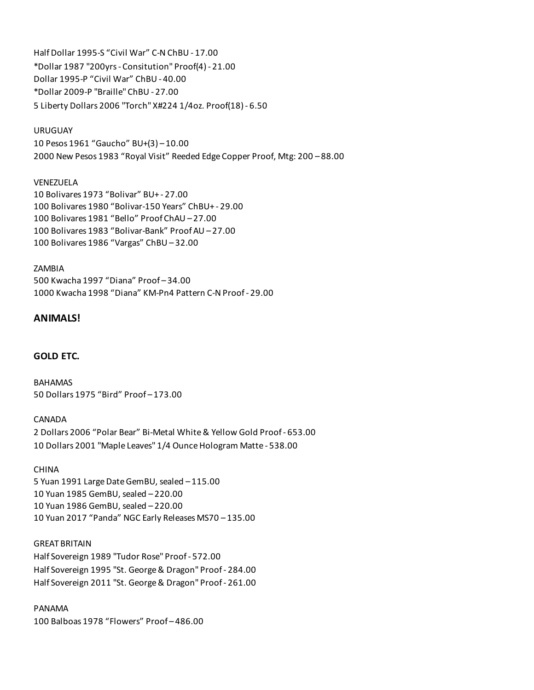Half Dollar 1995-S "Civil War" C-N ChBU - 17.00 \*Dollar 1987 "200yrs - Consitution" Proof(4) - 21.00 Dollar 1995-P "Civil War" ChBU - 40.00 \*Dollar 2009-P "Braille" ChBU - 27.00 5 Liberty Dollars 2006 "Torch" X#224 1/4oz. Proof(18) - 6.50

## URUGUAY

10 Pesos 1961 "Gaucho" BU+(3) – 10.00 2000 New Pesos 1983 "Royal Visit" Reeded Edge Copper Proof, Mtg: 200 – 88.00

# VENEZUELA

10 Bolivares 1973 "Bolivar" BU+ - 27.00 100 Bolivares 1980 "Bolivar-150 Years" ChBU+ - 29.00 100 Bolivares 1981 "Bello" Proof ChAU – 27.00 100 Bolivares 1983 "Bolivar-Bank" Proof AU – 27.00 100 Bolivares 1986 "Vargas" ChBU – 32.00

### ZAMBIA

500 Kwacha 1997 "Diana" Proof – 34.00 1000 Kwacha 1998 "Diana" KM-Pn4 Pattern C-N Proof - 29.00

# **ANIMALS!**

# **GOLD ETC.**

BAHAMAS 50 Dollars 1975 "Bird" Proof – 173.00

CANADA 2 Dollars 2006 "Polar Bear" Bi-Metal White & Yellow Gold Proof - 653.00 10 Dollars 2001 "Maple Leaves" 1/4 Ounce Hologram Matte - 538.00

## CHINA

5 Yuan 1991 Large Date GemBU, sealed – 115.00 10 Yuan 1985 GemBU, sealed – 220.00 10 Yuan 1986 GemBU, sealed – 220.00 10 Yuan 2017 "Panda" NGC Early Releases MS70 – 135.00

## GREAT BRITAIN

Half Sovereign 1989 "Tudor Rose" Proof - 572.00 Half Sovereign 1995 "St. George & Dragon" Proof - 284.00 Half Sovereign 2011 "St. George & Dragon" Proof - 261.00

## PANAMA

100 Balboas 1978 "Flowers" Proof – 486.00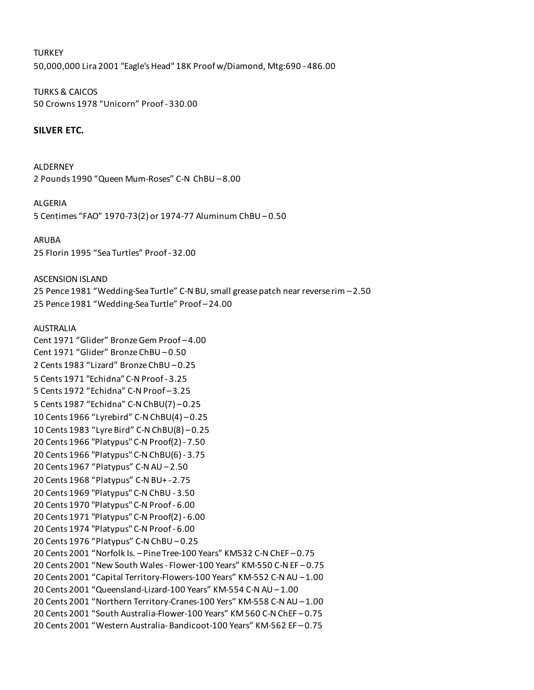**TURKEY** 50,000,000 Lira 2001 "Eagle's Head" 18K Proof w/Diamond, Mtg:690 - 486.00

TURKS & CAICOS 50 Crowns 1978 "Unicorn" Proof - 330.00

## **SILVER ETC.**

ALDERNEY 2 Pounds 1990 "Queen Mum-Roses" C-N ChBU – 8.00

ALGERIA

5 Centimes "FAO" 1970-73(2) or 1974-77 Aluminum ChBU – 0.50

ARUBA 25 Florin 1995 "Sea Turtles" Proof - 32.00

ASCENSION ISLAND 25 Pence 1981 "Wedding-Sea Turtle" C-N BU, small grease patch near reverse rim – 2.50 25 Pence 1981 "Wedding-Sea Turtle" Proof – 24.00

AUSTRALIA

Cent 1971 "Glider" Bronze Gem Proof – 4.00 Cent 1971 "Glider" Bronze ChBU – 0.50 2 Cents 1983 "Lizard" Bronze ChBU – 0.25 5 Cents 1971 "Echidna" C-N Proof - 3.25 5 Cents 1972 "Echidna" C-N Proof – 3.25 5 Cents 1987 "Echidna" C-N ChBU(7) – 0.25 10 Cents 1966 "Lyrebird" C-N ChBU(4) – 0.25 10 Cents 1983 "Lyre Bird" C-N ChBU(8) – 0.25 20 Cents 1966 "Platypus" C-N Proof(2) - 7.50 20 Cents 1966 "Platypus" C-N ChBU(6) - 3.75 20 Cents 1967 "Platypus" C-N AU – 2.50 20 Cents 1968 "Platypus" C-N BU+ - 2.75 20 Cents 1969 "Platypus" C-N ChBU - 3.50 20 Cents 1970 "Platypus" C-N Proof - 6.00 20 Cents 1971 "Platypus" C-N Proof(2) - 6.00 20 Cents 1974 "Platypus" C-N Proof - 6.00 20 Cents 1976 "Platypus" C-N ChBU – 0.25 20 Cents 2001 "Norfolk Is. – Pine Tree-100 Years" KM532 C-N ChEF – 0.75 20 Cents 2001 "New South Wales - Flower-100 Years" KM-550 C-N EF – 0.75 20 Cents 2001 "Capital Territory-Flowers-100 Years" KM-552 C-N AU – 1.00 20 Cents 2001 "Queensland-Lizard-100 Years" KM-554 C-N AU – 1.00 20 Cents 2001 "Northern Territory-Cranes-100 Yers" KM-558 C-N AU – 1.00 20 Cents 2001 "South Australia-Flower-100 Years" KM 560 C-N ChEF – 0.75 20 Cents 2001 "Western Australia- Bandicoot-100 Years" KM-562 EF – 0.75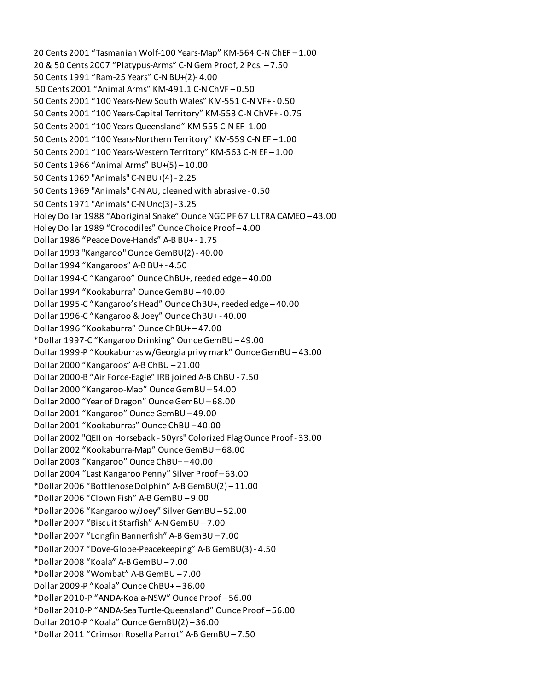20 Cents 2001 "Tasmanian Wolf-100 Years-Map" KM-564 C-N ChEF – 1.00 20 & 50 Cents 2007 "Platypus-Arms" C-N Gem Proof, 2 Pcs. – 7.50 50 Cents 1991 "Ram-25 Years" C-N BU+(2)- 4.00 50 Cents 2001 "Animal Arms" KM-491.1 C-N ChVF – 0.50 50 Cents 2001 "100 Years-New South Wales" KM-551 C-N VF+ - 0.50 50 Cents 2001 "100 Years-Capital Territory" KM-553 C-N ChVF+ - 0.75 50 Cents 2001 "100 Years-Queensland" KM-555 C-N EF- 1.00 50 Cents 2001 "100 Years-Northern Territory" KM-559 C-N EF – 1.00 50 Cents 2001 "100 Years-Western Territory" KM-563 C-N EF – 1.00 50 Cents 1966 "Animal Arms" BU+(5) – 10.00 50 Cents 1969 "Animals" C-N BU+(4) - 2.25 50 Cents 1969 "Animals" C-N AU, cleaned with abrasive - 0.50 50 Cents 1971 "Animals" C-N Unc(3) - 3.25 Holey Dollar 1988 "Aboriginal Snake" Ounce NGC PF 67 ULTRA CAMEO – 43.00 Holey Dollar 1989 "Crocodiles" Ounce Choice Proof – 4.00 Dollar 1986 "Peace Dove-Hands" A-B BU+ - 1.75 Dollar 1993 "Kangaroo" Ounce GemBU(2) - 40.00 Dollar 1994 "Kangaroos" A-B BU+ - 4.50 Dollar 1994-C "Kangaroo" Ounce ChBU+, reeded edge – 40.00 Dollar 1994 "Kookaburra" Ounce GemBU – 40.00 Dollar 1995-C "Kangaroo's Head" Ounce ChBU+, reeded edge – 40.00 Dollar 1996-C "Kangaroo & Joey" Ounce ChBU+ - 40.00 Dollar 1996 "Kookaburra" Ounce ChBU+ – 47.00 \*Dollar 1997-C "Kangaroo Drinking" Ounce GemBU – 49.00 Dollar 1999-P "Kookaburras w/Georgia privy mark" Ounce GemBU – 43.00 Dollar 2000 "Kangaroos" A-B ChBU – 21.00 Dollar 2000-B "Air Force-Eagle" IRB joined A-B ChBU - 7.50 Dollar 2000 "Kangaroo-Map" Ounce GemBU – 54.00 Dollar 2000 "Year of Dragon" Ounce GemBU – 68.00 Dollar 2001 "Kangaroo" Ounce GemBU – 49.00 Dollar 2001 "Kookaburras" Ounce ChBU – 40.00 Dollar 2002 "QEII on Horseback - 50yrs" Colorized Flag Ounce Proof - 33.00 Dollar 2002 "Kookaburra-Map" Ounce GemBU – 68.00 Dollar 2003 "Kangaroo" Ounce ChBU+ – 40.00 Dollar 2004 "Last Kangaroo Penny" Silver Proof – 63.00 \*Dollar 2006 "Bottlenose Dolphin" A-B GemBU(2) – 11.00 \*Dollar 2006 "Clown Fish" A-B GemBU – 9.00 \*Dollar 2006 "Kangaroo w/Joey" Silver GemBU – 52.00 \*Dollar 2007 "Biscuit Starfish" A-N GemBU – 7.00 \*Dollar 2007 "Longfin Bannerfish" A-B GemBU – 7.00 \*Dollar 2007 "Dove-Globe-Peacekeeping" A-B GemBU(3) - 4.50 \*Dollar 2008 "Koala" A-B GemBU – 7.00 \*Dollar 2008 "Wombat" A-B GemBU – 7.00 Dollar 2009-P "Koala" Ounce ChBU+ – 36.00 \*Dollar 2010-P "ANDA-Koala-NSW" Ounce Proof – 56.00 \*Dollar 2010-P "ANDA-Sea Turtle-Queensland" Ounce Proof – 56.00 Dollar 2010-P "Koala" Ounce GemBU(2) – 36.00 \*Dollar 2011 "Crimson Rosella Parrot" A-B GemBU – 7.50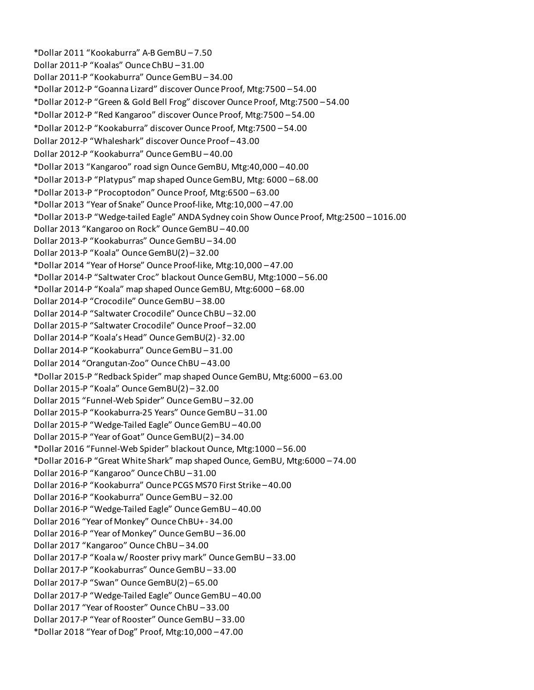\*Dollar 2011 "Kookaburra" A-B GemBU – 7.50 Dollar 2011-P "Koalas" Ounce ChBU – 31.00 Dollar 2011-P "Kookaburra" Ounce GemBU – 34.00 \*Dollar 2012-P "Goanna Lizard" discover Ounce Proof, Mtg:7500 – 54.00 \*Dollar 2012-P "Green & Gold Bell Frog" discover Ounce Proof, Mtg:7500 – 54.00 \*Dollar 2012-P "Red Kangaroo" discover Ounce Proof, Mtg:7500 – 54.00 \*Dollar 2012-P "Kookaburra" discover Ounce Proof, Mtg:7500 – 54.00 Dollar 2012-P "Whaleshark" discover Ounce Proof – 43.00 Dollar 2012-P "Kookaburra" Ounce GemBU – 40.00 \*Dollar 2013 "Kangaroo" road sign Ounce GemBU, Mtg:40,000 – 40.00 \*Dollar 2013-P "Platypus" map shaped Ounce GemBU, Mtg: 6000 – 68.00 \*Dollar 2013-P "Procoptodon" Ounce Proof, Mtg:6500 – 63.00 \*Dollar 2013 "Year of Snake" Ounce Proof-like, Mtg:10,000 – 47.00 \*Dollar 2013-P "Wedge-tailed Eagle" ANDA Sydney coin Show Ounce Proof, Mtg:2500 – 1016.00 Dollar 2013 "Kangaroo on Rock" Ounce GemBU – 40.00 Dollar 2013-P "Kookaburras" Ounce GemBU – 34.00 Dollar 2013-P "Koala" Ounce GemBU(2) – 32.00 \*Dollar 2014 "Year of Horse" Ounce Proof-like, Mtg:10,000 – 47.00 \*Dollar 2014-P "Saltwater Croc" blackout Ounce GemBU, Mtg:1000 – 56.00 \*Dollar 2014-P "Koala" map shaped Ounce GemBU, Mtg:6000 – 68.00 Dollar 2014-P "Crocodile" Ounce GemBU – 38.00 Dollar 2014-P "Saltwater Crocodile" Ounce ChBU – 32.00 Dollar 2015-P "Saltwater Crocodile" Ounce Proof – 32.00 Dollar 2014-P "Koala's Head" Ounce GemBU(2) - 32.00 Dollar 2014-P "Kookaburra" Ounce GemBU – 31.00 Dollar 2014 "Orangutan-Zoo" Ounce ChBU – 43.00 \*Dollar 2015-P "Redback Spider" map shaped Ounce GemBU, Mtg:6000 – 63.00 Dollar 2015-P "Koala" Ounce GemBU(2) – 32.00 Dollar 2015 "Funnel-Web Spider" Ounce GemBU – 32.00 Dollar 2015-P "Kookaburra-25 Years" Ounce GemBU – 31.00 Dollar 2015-P "Wedge-Tailed Eagle" Ounce GemBU – 40.00 Dollar 2015-P "Year of Goat" Ounce GemBU(2) – 34.00 \*Dollar 2016 "Funnel-Web Spider" blackout Ounce, Mtg:1000 – 56.00 \*Dollar 2016-P "Great White Shark" map shaped Ounce, GemBU, Mtg:6000 – 74.00 Dollar 2016-P "Kangaroo" Ounce ChBU – 31.00 Dollar 2016-P "Kookaburra" Ounce PCGS MS70 First Strike – 40.00 Dollar 2016-P "Kookaburra" Ounce GemBU – 32.00 Dollar 2016-P "Wedge-Tailed Eagle" Ounce GemBU – 40.00 Dollar 2016 "Year of Monkey" Ounce ChBU+ - 34.00 Dollar 2016-P "Year of Monkey" Ounce GemBU – 36.00 Dollar 2017 "Kangaroo" Ounce ChBU – 34.00 Dollar 2017-P "Koala w/ Rooster privy mark" Ounce GemBU – 33.00 Dollar 2017-P "Kookaburras" Ounce GemBU – 33.00 Dollar 2017-P "Swan" Ounce GemBU(2) – 65.00 Dollar 2017-P "Wedge-Tailed Eagle" Ounce GemBU – 40.00 Dollar 2017 "Year of Rooster" Ounce ChBU – 33.00 Dollar 2017-P "Year of Rooster" Ounce GemBU – 33.00 \*Dollar 2018 "Year of Dog" Proof, Mtg:10,000 – 47.00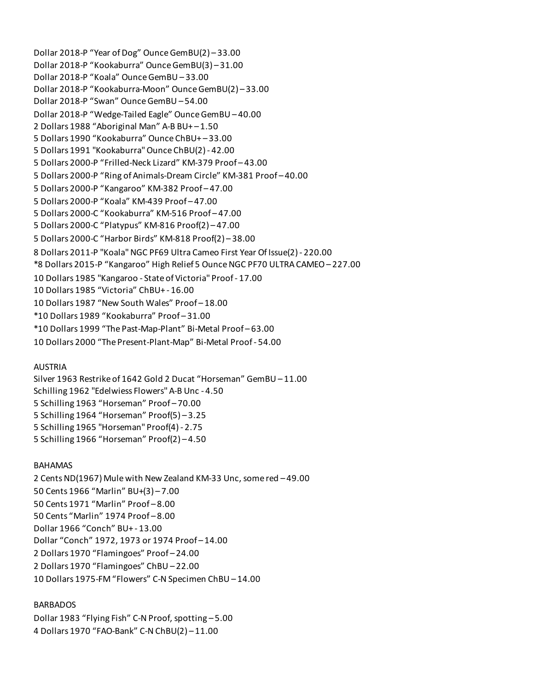Dollar 2018-P "Year of Dog" Ounce GemBU(2) – 33.00 Dollar 2018-P "Kookaburra" Ounce GemBU(3) – 31.00 Dollar 2018-P "Koala" Ounce GemBU – 33.00 Dollar 2018-P "Kookaburra-Moon" Ounce GemBU(2) – 33.00 Dollar 2018-P "Swan" Ounce GemBU – 54.00 Dollar 2018-P "Wedge-Tailed Eagle" Ounce GemBU – 40.00 2 Dollars 1988 "Aboriginal Man" A-B BU+ – 1.50 5 Dollars 1990 "Kookaburra" Ounce ChBU+ – 33.00 5 Dollars 1991 "Kookaburra" Ounce ChBU(2) - 42.00 5 Dollars 2000-P "Frilled-Neck Lizard" KM-379 Proof – 43.00 5 Dollars 2000-P "Ring of Animals-Dream Circle" KM-381 Proof – 40.00 5 Dollars 2000-P "Kangaroo" KM-382 Proof – 47.00 5 Dollars 2000-P "Koala" KM-439 Proof – 47.00 5 Dollars 2000-C "Kookaburra" KM-516 Proof – 47.00 5 Dollars 2000-C "Platypus" KM-816 Proof(2) – 47.00 5 Dollars 2000-C "Harbor Birds" KM-818 Proof(2) – 38.00 8 Dollars 2011-P "Koala" NGC PF69 Ultra Cameo First Year Of Issue(2) - 220.00 \*8 Dollars 2015-P "Kangaroo" High Relief 5 Ounce NGC PF70 ULTRA CAMEO – 227.00 10 Dollars 1985 "Kangaroo - State of Victoria" Proof - 17.00 10 Dollars 1985 "Victoria" ChBU+ - 16.00 10 Dollars 1987 "New South Wales" Proof – 18.00 \*10 Dollars 1989 "Kookaburra" Proof – 31.00 \*10 Dollars 1999 "The Past-Map-Plant" Bi-Metal Proof – 63.00 10 Dollars 2000 "The Present-Plant-Map" Bi-Metal Proof - 54.00

### AUSTRIA

Silver 1963 Restrike of 1642 Gold 2 Ducat "Horseman" GemBU – 11.00 Schilling 1962 "Edelwiess Flowers" A-B Unc - 4.50 5 Schilling 1963 "Horseman" Proof – 70.00 5 Schilling 1964 "Horseman" Proof(5) – 3.25 5 Schilling 1965 "Horseman" Proof(4) - 2.75 5 Schilling 1966 "Horseman" Proof(2) – 4.50

### BAHAMAS

2 Cents ND(1967) Mule with New Zealand KM-33 Unc, some red – 49.00 50 Cents 1966 "Marlin" BU+(3) – 7.00 50 Cents 1971 "Marlin" Proof – 8.00 50 Cents "Marlin" 1974 Proof – 8.00 Dollar 1966 "Conch" BU+ - 13.00 Dollar "Conch" 1972, 1973 or 1974 Proof – 14.00 2 Dollars 1970 "Flamingoes" Proof – 24.00 2 Dollars 1970 "Flamingoes" ChBU – 22.00 10 Dollars 1975-FM "Flowers" C-N Specimen ChBU – 14.00

### BARBADOS

Dollar 1983 "Flying Fish" C-N Proof, spotting – 5.00 4 Dollars 1970 "FAO-Bank" C-N ChBU(2) – 11.00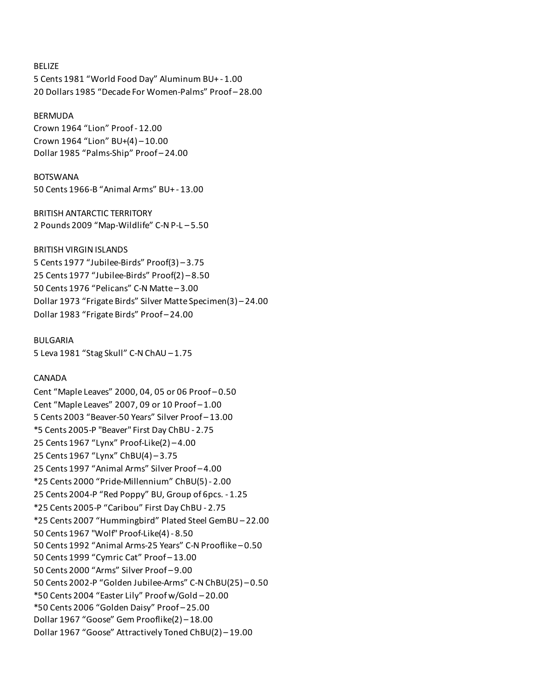### BELIZE

5 Cents 1981 "World Food Day" Aluminum BU+ - 1.00 20 Dollars 1985 "Decade For Women-Palms" Proof – 28.00

#### BERMUDA

Crown 1964 "Lion" Proof - 12.00 Crown 1964 "Lion" BU+(4) – 10.00 Dollar 1985 "Palms-Ship" Proof – 24.00

#### BOTSWANA

50 Cents 1966-B "Animal Arms" BU+ - 13.00

BRITISH ANTARCTIC TERRITORY 2 Pounds 2009 "Map-Wildlife" C-N P-L – 5.50

### BRITISH VIRGIN ISLANDS

5 Cents 1977 "Jubilee-Birds" Proof(3) – 3.75 25 Cents 1977 "Jubilee-Birds" Proof(2) – 8.50 50 Cents 1976 "Pelicans" C-N Matte – 3.00 Dollar 1973 "Frigate Birds" Silver Matte Specimen(3) – 24.00 Dollar 1983 "Frigate Birds" Proof – 24.00

BULGARIA 5 Leva 1981 "Stag Skull" C-N ChAU – 1.75

### CANADA

Cent "Maple Leaves" 2000, 04, 05 or 06 Proof – 0.50 Cent "Maple Leaves" 2007, 09 or 10 Proof – 1.00 5 Cents 2003 "Beaver-50 Years" Silver Proof – 13.00 \*5 Cents 2005-P "Beaver" First Day ChBU - 2.75 25 Cents 1967 "Lynx" Proof-Like(2) – 4.00 25 Cents 1967 "Lynx" ChBU(4) – 3.75 25 Cents 1997 "Animal Arms" Silver Proof – 4.00 \*25 Cents 2000 "Pride-Millennium" ChBU(5) - 2.00 25 Cents 2004-P "Red Poppy" BU, Group of 6pcs. - 1.25 \*25 Cents 2005-P "Caribou" First Day ChBU - 2.75 \*25 Cents 2007 "Hummingbird" Plated Steel GemBU – 22.00 50 Cents 1967 "Wolf" Proof-Like(4) - 8.50 50 Cents 1992 "Animal Arms-25 Years" C-N Prooflike – 0.50 50 Cents 1999 "Cymric Cat" Proof – 13.00 50 Cents 2000 "Arms" Silver Proof – 9.00 50 Cents 2002-P "Golden Jubilee-Arms" C-N ChBU(25) – 0.50 \*50 Cents 2004 "Easter Lily" Proof w/Gold – 20.00 \*50 Cents 2006 "Golden Daisy" Proof – 25.00 Dollar 1967 "Goose" Gem Prooflike(2) – 18.00 Dollar 1967 "Goose" Attractively Toned ChBU(2) – 19.00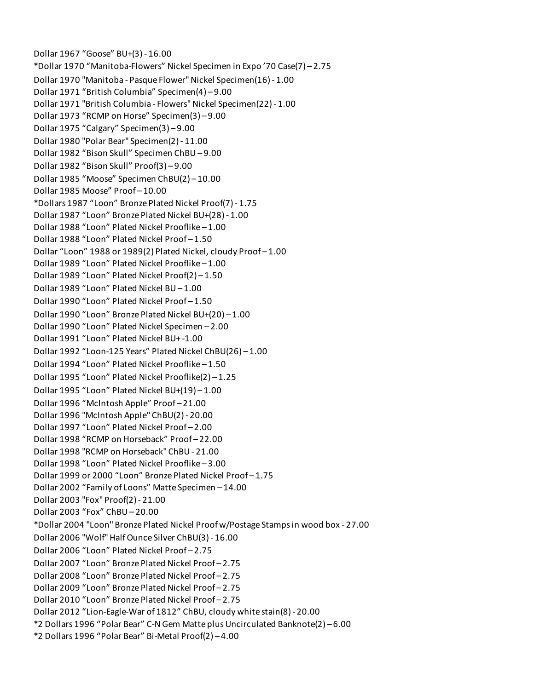Dollar 1967 "Goose" BU+(3) - 16.00 \*Dollar 1970 "Manitoba-Flowers" Nickel Specimen in Expo '70 Case(7) – 2.75 Dollar 1970 "Manitoba - Pasque Flower" Nickel Specimen(16) - 1.00 Dollar 1971 "British Columbia" Specimen(4) – 9.00 Dollar 1971 "British Columbia - Flowers" Nickel Specimen(22) - 1.00 Dollar 1973 "RCMP on Horse" Specimen(3) – 9.00 Dollar 1975 "Calgary" Specimen(3) – 9.00 Dollar 1980 "Polar Bear" Specimen(2) - 11.00 Dollar 1982 "Bison Skull" Specimen ChBU – 9.00 Dollar 1982 "Bison Skull" Proof(3) – 9.00 Dollar 1985 "Moose" Specimen ChBU(2) – 10.00 Dollar 1985 Moose" Proof – 10.00 \*Dollars 1987 "Loon" Bronze Plated Nickel Proof(7) - 1.75 Dollar 1987 "Loon" Bronze Plated Nickel BU+(28) - 1.00 Dollar 1988 "Loon" Plated Nickel Prooflike – 1.00 Dollar 1988 "Loon" Plated Nickel Proof – 1.50 Dollar "Loon" 1988 or 1989(2) Plated Nickel, cloudy Proof – 1.00 Dollar 1989 "Loon" Plated Nickel Prooflike – 1.00 Dollar 1989 "Loon" Plated Nickel Proof(2) – 1.50 Dollar 1989 "Loon" Plated Nickel BU – 1.00 Dollar 1990 "Loon" Plated Nickel Proof – 1.50 Dollar 1990 "Loon" Bronze Plated Nickel BU+(20) – 1.00 Dollar 1990 "Loon" Plated Nickel Specimen – 2.00 Dollar 1991 "Loon" Plated Nickel BU+ -1.00 Dollar 1992 "Loon-125 Years" Plated Nickel ChBU(26) – 1.00 Dollar 1994 "Loon" Plated Nickel Prooflike – 1.50 Dollar 1995 "Loon" Plated Nickel Prooflike(2) – 1.25 Dollar 1995 "Loon" Plated Nickel BU+(19) – 1.00 Dollar 1996 "McIntosh Apple" Proof – 21.00 Dollar 1996 "McIntosh Apple" ChBU(2) - 20.00 Dollar 1997 "Loon" Plated Nickel Proof – 2.00 Dollar 1998 "RCMP on Horseback" Proof – 22.00 Dollar 1998 "RCMP on Horseback" ChBU - 21.00 Dollar 1998 "Loon" Plated Nickel Prooflike – 3.00 Dollar 1999 or 2000 "Loon" Bronze Plated Nickel Proof – 1.75 Dollar 2002 "Family of Loons" Matte Specimen – 14.00 Dollar 2003 "Fox" Proof(2) - 21.00 Dollar 2003 "Fox" ChBU – 20.00 \*Dollar 2004 "Loon" Bronze Plated Nickel Proof w/Postage Stamps in wood box - 27.00 Dollar 2006 "Wolf" Half Ounce Silver ChBU(3) - 16.00 Dollar 2006 "Loon" Plated Nickel Proof – 2.75 Dollar 2007 "Loon" Bronze Plated Nickel Proof – 2.75 Dollar 2008 "Loon" Bronze Plated Nickel Proof – 2.75 Dollar 2009 "Loon" Bronze Plated Nickel Proof – 2.75 Dollar 2010 "Loon" Bronze Plated Nickel Proof – 2.75 Dollar 2012 "Lion-Eagle-War of 1812" ChBU, cloudy white stain(8) - 20.00 \*2 Dollars 1996 "Polar Bear" C-N Gem Matte plus Uncirculated Banknote(2) – 6.00 \*2 Dollars 1996 "Polar Bear" Bi-Metal Proof(2) – 4.00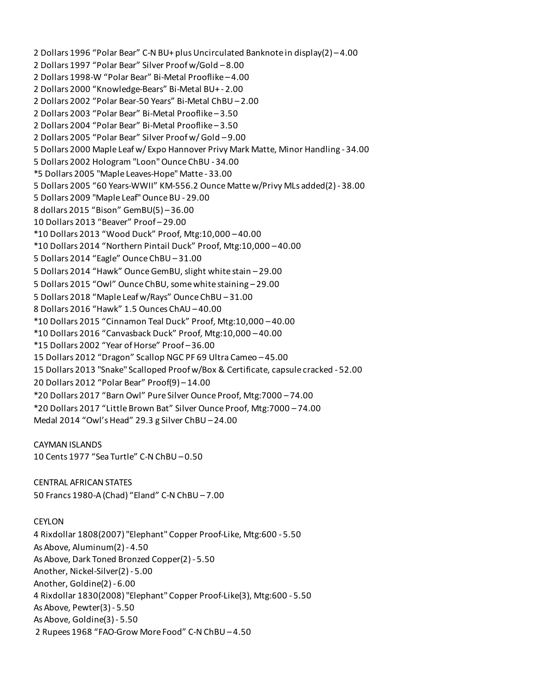2 Dollars 1996 "Polar Bear" C-N BU+ plus Uncirculated Banknote in display(2) – 4.00 2 Dollars 1997 "Polar Bear" Silver Proof w/Gold – 8.00 2 Dollars 1998-W "Polar Bear" Bi-Metal Prooflike – 4.00 2 Dollars 2000 "Knowledge-Bears" Bi-Metal BU+ - 2.00 2 Dollars 2002 "Polar Bear-50 Years" Bi-Metal ChBU – 2.00 2 Dollars 2003 "Polar Bear" Bi-Metal Prooflike – 3.50 2 Dollars 2004 "Polar Bear" Bi-Metal Prooflike – 3.50 2 Dollars 2005 "Polar Bear" Silver Proof w/ Gold – 9.00 5 Dollars 2000 Maple Leaf w/ Expo Hannover Privy Mark Matte, Minor Handling - 34.00 5 Dollars 2002 Hologram "Loon" Ounce ChBU - 34.00 \*5 Dollars 2005 "Maple Leaves-Hope" Matte - 33.00 5 Dollars 2005 "60 Years-WWII" KM-556.2 Ounce Matte w/Privy MLs added(2) - 38.00 5 Dollars 2009 "Maple Leaf" Ounce BU - 29.00 8 dollars 2015 "Bison" GemBU(5) – 36.00 10 Dollars 2013 "Beaver" Proof – 29.00 \*10 Dollars 2013 "Wood Duck" Proof, Mtg:10,000 – 40.00 \*10 Dollars 2014 "Northern Pintail Duck" Proof, Mtg:10,000 – 40.00 5 Dollars 2014 "Eagle" Ounce ChBU – 31.00 5 Dollars 2014 "Hawk" Ounce GemBU, slight white stain – 29.00 5 Dollars 2015 "Owl" Ounce ChBU, some white staining – 29.00 5 Dollars 2018 "Maple Leaf w/Rays" Ounce ChBU – 31.00 8 Dollars 2016 "Hawk" 1.5 Ounces ChAU – 40.00 \*10 Dollars 2015 "Cinnamon Teal Duck" Proof, Mtg:10,000 – 40.00 \*10 Dollars 2016 "Canvasback Duck" Proof, Mtg:10,000 – 40.00 \*15 Dollars 2002 "Year of Horse" Proof – 36.00 15 Dollars 2012 "Dragon" Scallop NGC PF 69 Ultra Cameo – 45.00 15 Dollars 2013 "Snake" Scalloped Proof w/Box & Certificate, capsule cracked - 52.00 20 Dollars 2012 "Polar Bear" Proof(9) – 14.00 \*20 Dollars 2017 "Barn Owl" Pure Silver Ounce Proof, Mtg:7000 – 74.00 \*20 Dollars 2017 "Little Brown Bat" Silver Ounce Proof, Mtg:7000 – 74.00 Medal 2014 "Owl's Head" 29.3 g Silver ChBU – 24.00

CAYMAN ISLANDS 10 Cents 1977 "Sea Turtle" C-N ChBU – 0.50

CENTRAL AFRICAN STATES 50 Francs 1980-A (Chad) "Eland" C-N ChBU – 7.00

CEYLON 4 Rixdollar 1808(2007) "Elephant" Copper Proof-Like, Mtg:600 - 5.50 As Above, Aluminum(2) - 4.50 As Above, Dark Toned Bronzed Copper(2) - 5.50 Another, Nickel-Silver(2) - 5.00 Another, Goldine(2) - 6.00 4 Rixdollar 1830(2008) "Elephant" Copper Proof-Like(3), Mtg:600 - 5.50 As Above, Pewter(3) - 5.50 As Above, Goldine(3) - 5.50 2 Rupees 1968 "FAO-Grow More Food" C-N ChBU – 4.50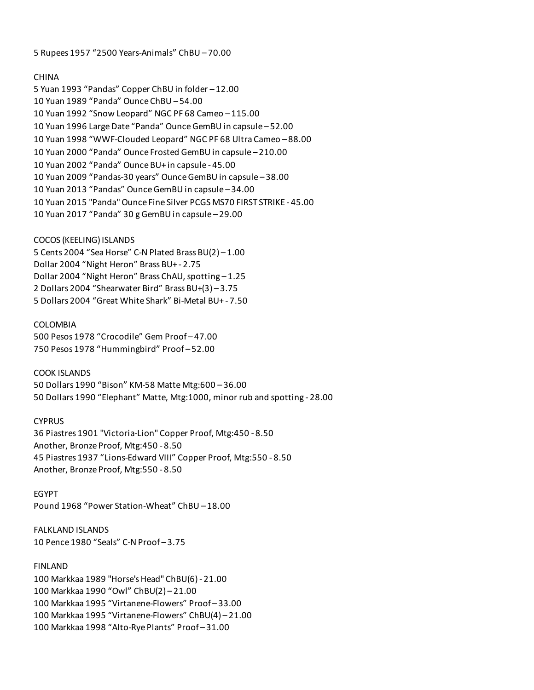5 Rupees 1957 "2500 Years-Animals" ChBU – 70.00

### CHINA

5 Yuan 1993 "Pandas" Copper ChBU in folder – 12.00 10 Yuan 1989 "Panda" Ounce ChBU – 54.00 10 Yuan 1992 "Snow Leopard" NGC PF 68 Cameo – 115.00 10 Yuan 1996 Large Date "Panda" Ounce GemBU in capsule – 52.00 10 Yuan 1998 "WWF-Clouded Leopard" NGC PF 68 Ultra Cameo – 88.00 10 Yuan 2000 "Panda" Ounce Frosted GemBU in capsule – 210.00 10 Yuan 2002 "Panda" Ounce BU+ in capsule - 45.00 10 Yuan 2009 "Pandas-30 years" Ounce GemBU in capsule – 38.00 10 Yuan 2013 "Pandas" Ounce GemBU in capsule – 34.00 10 Yuan 2015 "Panda" Ounce Fine Silver PCGS MS70 FIRST STRIKE - 45.00 10 Yuan 2017 "Panda" 30 g GemBU in capsule – 29.00

### COCOS (KEELING) ISLANDS

5 Cents 2004 "Sea Horse" C-N Plated Brass BU(2) – 1.00 Dollar 2004 "Night Heron" Brass BU+ - 2.75 Dollar 2004 "Night Heron" Brass ChAU, spotting – 1.25 2 Dollars 2004 "Shearwater Bird" Brass BU+(3) – 3.75 5 Dollars 2004 "Great White Shark" Bi-Metal BU+ - 7.50

### COLOMBIA

500 Pesos 1978 "Crocodile" Gem Proof – 47.00 750 Pesos 1978 "Hummingbird" Proof – 52.00

COOK ISLANDS 50 Dollars 1990 "Bison" KM-58 Matte Mtg:600 – 36.00 50 Dollars 1990 "Elephant" Matte, Mtg:1000, minor rub and spotting - 28.00

## **CYPRUS**

36 Piastres 1901 "Victoria-Lion" Copper Proof, Mtg:450 - 8.50 Another, Bronze Proof, Mtg:450 - 8.50 45 Piastres 1937 "Lions-Edward VIII" Copper Proof, Mtg:550 - 8.50 Another, Bronze Proof, Mtg:550 - 8.50

EGYPT Pound 1968 "Power Station-Wheat" ChBU – 18.00

FALKLAND ISLANDS 10 Pence 1980 "Seals" C-N Proof – 3.75

# FINLAND

100 Markkaa 1989 "Horse's Head" ChBU(6) - 21.00 100 Markkaa 1990 "Owl" ChBU(2) – 21.00 100 Markkaa 1995 "Virtanene-Flowers" Proof – 33.00 100 Markkaa 1995 "Virtanene-Flowers" ChBU(4) – 21.00 100 Markkaa 1998 "Alto-Rye Plants" Proof – 31.00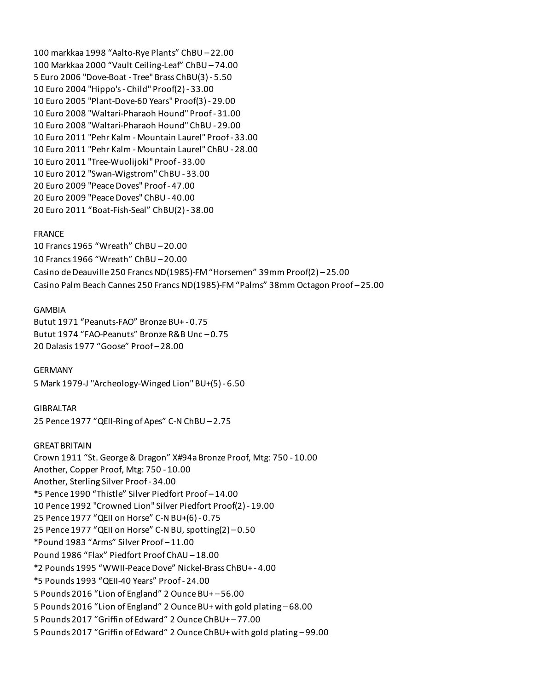100 markkaa 1998 "Aalto-Rye Plants" ChBU – 22.00 100 Markkaa 2000 "Vault Ceiling-Leaf" ChBU – 74.00 5 Euro 2006 "Dove-Boat - Tree" Brass ChBU(3) - 5.50 10 Euro 2004 "Hippo's - Child" Proof(2) - 33.00 10 Euro 2005 "Plant-Dove-60 Years" Proof(3) - 29.00 10 Euro 2008 "Waltari-Pharaoh Hound" Proof - 31.00 10 Euro 2008 "Waltari-Pharaoh Hound" ChBU - 29.00 10 Euro 2011 "Pehr Kalm - Mountain Laurel" Proof - 33.00 10 Euro 2011 "Pehr Kalm - Mountain Laurel" ChBU - 28.00 10 Euro 2011 "Tree-Wuolijoki" Proof - 33.00 10 Euro 2012 "Swan-Wigstrom" ChBU - 33.00 20 Euro 2009 "Peace Doves" Proof - 47.00 20 Euro 2009 "Peace Doves" ChBU - 40.00 20 Euro 2011 "Boat-Fish-Seal" ChBU(2) - 38.00

#### FRANCE

10 Francs 1965 "Wreath" ChBU – 20.00 10 Francs 1966 "Wreath" ChBU – 20.00 Casino de Deauville 250 Francs ND(1985)-FM "Horsemen" 39mm Proof(2) – 25.00 Casino Palm Beach Cannes 250 Francs ND(1985)-FM "Palms" 38mm Octagon Proof – 25.00

#### GAMBIA

Butut 1971 "Peanuts-FAO" Bronze BU+ - 0.75 Butut 1974 "FAO-Peanuts" Bronze R&B Unc – 0.75 20 Dalasis 1977 "Goose" Proof – 28.00

GERMANY 5 Mark 1979-J "Archeology-Winged Lion" BU+(5) - 6.50

GIBRALTAR 25 Pence 1977 "QEII-Ring of Apes" C-N ChBU – 2.75

GREAT BRITAIN Crown 1911 "St. George & Dragon" X#94a Bronze Proof, Mtg: 750 - 10.00 Another, Copper Proof, Mtg: 750 - 10.00 Another, Sterling Silver Proof - 34.00 \*5 Pence 1990 "Thistle" Silver Piedfort Proof – 14.00 10 Pence 1992 "Crowned Lion" Silver Piedfort Proof(2) - 19.00 25 Pence 1977 "QEII on Horse" C-N BU+(6) - 0.75 25 Pence 1977 "QEII on Horse" C-N BU, spotting(2) – 0.50 \*Pound 1983 "Arms" Silver Proof – 11.00 Pound 1986 "Flax" Piedfort Proof ChAU – 18.00 \*2 Pounds 1995 "WWII-Peace Dove" Nickel-Brass ChBU+ - 4.00 \*5 Pounds 1993 "QEII-40 Years" Proof - 24.00 5 Pounds 2016 "Lion of England" 2 Ounce BU+ – 56.00 5 Pounds 2016 "Lion of England" 2 Ounce BU+ with gold plating – 68.00 5 Pounds 2017 "Griffin of Edward" 2 Ounce ChBU+ – 77.00 5 Pounds 2017 "Griffin of Edward" 2 Ounce ChBU+ with gold plating – 99.00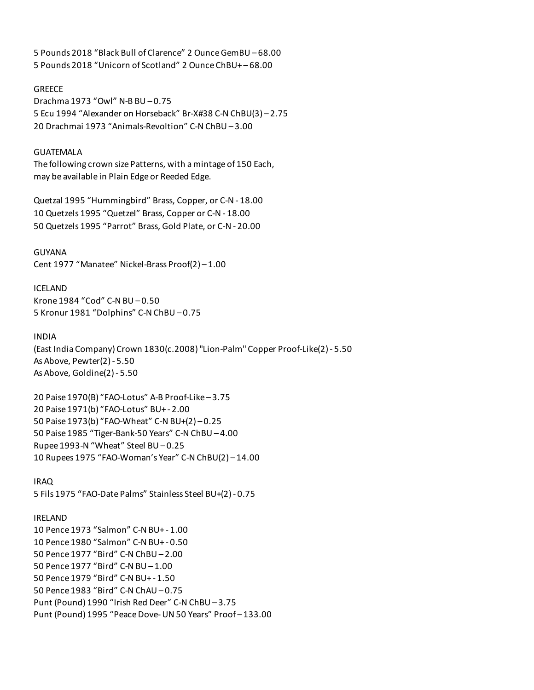5 Pounds 2018 "Black Bull of Clarence" 2 Ounce GemBU – 68.00 5 Pounds 2018 "Unicorn of Scotland" 2 Ounce ChBU+ – 68.00

**GREECE** 

Drachma 1973 "Owl" N-B BU – 0.75 5 Ecu 1994 "Alexander on Horseback" Br-X#38 C-N ChBU(3) – 2.75 20 Drachmai 1973 "Animals-Revoltion" C-N ChBU – 3.00

### GUATEMALA

The following crown size Patterns, with a mintage of 150 Each, may be available in Plain Edge or Reeded Edge.

Quetzal 1995 "Hummingbird" Brass, Copper, or C-N - 18.00 10 Quetzels 1995 "Quetzel" Brass, Copper or C-N - 18.00 50 Quetzels 1995 "Parrot" Brass, Gold Plate, or C-N - 20.00

GUYANA Cent 1977 "Manatee" Nickel-Brass Proof(2) – 1.00

ICELAND Krone 1984 "Cod" C-N BU – 0.50 5 Kronur 1981 "Dolphins" C-N ChBU – 0.75

INDIA

(East India Company) Crown 1830(c.2008) "Lion-Palm" Copper Proof-Like(2) - 5.50 As Above, Pewter(2) - 5.50 As Above, Goldine(2) - 5.50

20 Paise 1970(B) "FAO-Lotus" A-B Proof-Like – 3.75 20 Paise 1971(b) "FAO-Lotus" BU+ - 2.00 50 Paise 1973(b) "FAO-Wheat" C-N BU+(2) – 0.25 50 Paise 1985 "Tiger-Bank-50 Years" C-N ChBU – 4.00 Rupee 1993-N "Wheat" Steel BU – 0.25 10 Rupees 1975 "FAO-Woman's Year" C-N ChBU(2) – 14.00

IRAQ 5 Fils 1975 "FAO-Date Palms" Stainless Steel BU+(2) - 0.75

### IRELAND

10 Pence 1973 "Salmon" C-N BU+ - 1.00 10 Pence 1980 "Salmon" C-N BU+ - 0.50 50 Pence 1977 "Bird" C-N ChBU – 2.00 50 Pence 1977 "Bird" C-N BU – 1.00 50 Pence 1979 "Bird" C-N BU+ - 1.50 50 Pence 1983 "Bird" C-N ChAU – 0.75 Punt (Pound) 1990 "Irish Red Deer" C-N ChBU – 3.75 Punt (Pound) 1995 "Peace Dove- UN 50 Years" Proof – 133.00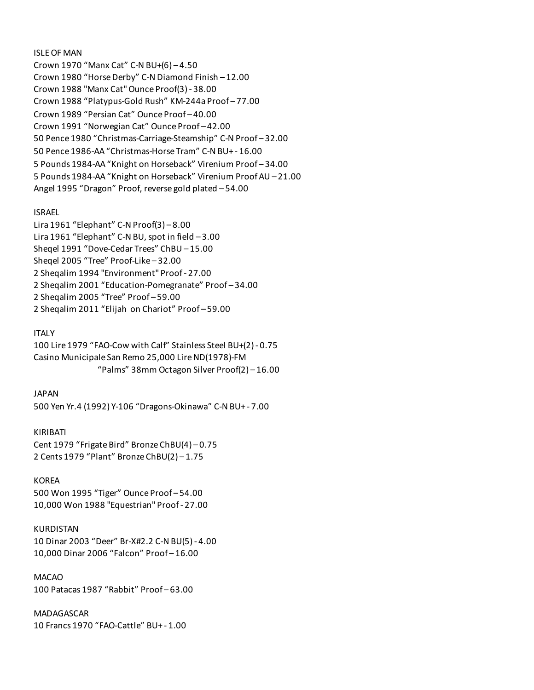ISLE OF MAN

Crown 1970 "Manx Cat" C-N BU+(6) – 4.50 Crown 1980 "Horse Derby" C-N Diamond Finish – 12.00 Crown 1988 "Manx Cat" Ounce Proof(3) - 38.00 Crown 1988 "Platypus-Gold Rush" KM-244a Proof – 77.00 Crown 1989 "Persian Cat" Ounce Proof – 40.00 Crown 1991 "Norwegian Cat" Ounce Proof – 42.00 50 Pence 1980 "Christmas-Carriage-Steamship" C-N Proof – 32.00 50 Pence 1986-AA "Christmas-Horse Tram" C-N BU+ - 16.00 5 Pounds 1984-AA "Knight on Horseback" Virenium Proof – 34.00 5 Pounds 1984-AA "Knight on Horseback" Virenium Proof AU – 21.00 Angel 1995 "Dragon" Proof, reverse gold plated – 54.00

## ISRAEL

Lira 1961 "Elephant" C-N Proof(3) – 8.00 Lira 1961 "Elephant" C-N BU, spot in field – 3.00 Sheqel 1991 "Dove-Cedar Trees" ChBU – 15.00 Sheqel 2005 "Tree" Proof-Like – 32.00 2 Sheqalim 1994 "Environment" Proof - 27.00 2 Sheqalim 2001 "Education-Pomegranate" Proof – 34.00 2 Sheqalim 2005 "Tree" Proof – 59.00 2 Sheqalim 2011 "Elijah on Chariot" Proof – 59.00

### ITALY

100 Lire 1979 "FAO-Cow with Calf" Stainless Steel BU+(2) - 0.75 Casino Municipale San Remo 25,000 Lire ND(1978)-FM "Palms" 38mm Octagon Silver Proof(2) – 16.00

### JAPAN

500 Yen Yr.4 (1992) Y-106 "Dragons-Okinawa" C-N BU+ - 7.00

KIRIBATI Cent 1979 "Frigate Bird" Bronze ChBU(4) – 0.75 2 Cents 1979 "Plant" Bronze ChBU(2) – 1.75

#### KOREA

500 Won 1995 "Tiger" Ounce Proof – 54.00 10,000 Won 1988 "Equestrian" Proof - 27.00

#### KURDISTAN

10 Dinar 2003 "Deer" Br-X#2.2 C-N BU(5) - 4.00 10,000 Dinar 2006 "Falcon" Proof – 16.00

MACAO 100 Patacas 1987 "Rabbit" Proof – 63.00

MADAGASCAR 10 Francs 1970 "FAO-Cattle" BU+ - 1.00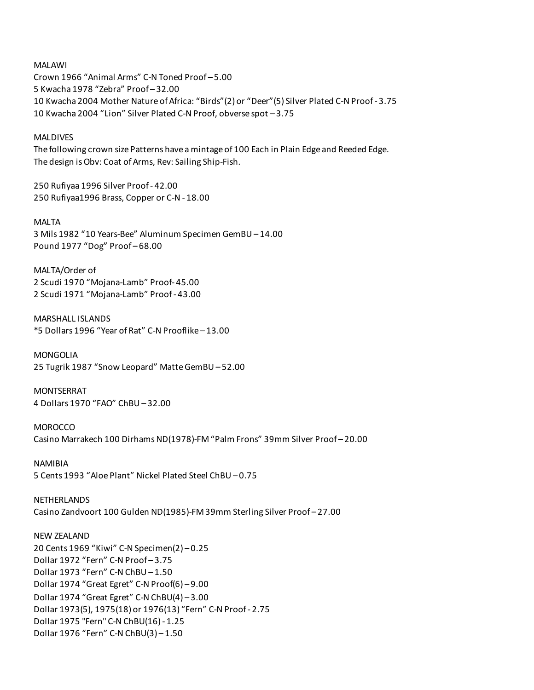MALAWI Crown 1966 "Animal Arms" C-N Toned Proof – 5.00 5 Kwacha 1978 "Zebra" Proof – 32.00 10 Kwacha 2004 Mother Nature of Africa: "Birds"(2) or "Deer"(5) Silver Plated C-N Proof - 3.75 10 Kwacha 2004 "Lion" Silver Plated C-N Proof, obverse spot – 3.75

MALDIVES

The following crown size Patterns have a mintage of 100 Each in Plain Edge and Reeded Edge. The design is Obv: Coat of Arms, Rev: Sailing Ship-Fish.

250 Rufiyaa 1996 Silver Proof - 42.00 250 Rufiyaa1996 Brass, Copper or C-N - 18.00

MALTA 3 Mils 1982 "10 Years-Bee" Aluminum Specimen GemBU – 14.00 Pound 1977 "Dog" Proof – 68.00

MALTA/Order of 2 Scudi 1970 "Mojana-Lamb" Proof- 45.00 2 Scudi 1971 "Mojana-Lamb" Proof - 43.00

MARSHALL ISLANDS \*5 Dollars 1996 "Year of Rat" C-N Prooflike – 13.00

MONGOLIA 25 Tugrik 1987 "Snow Leopard" Matte GemBU – 52.00

MONTSERRAT 4 Dollars 1970 "FAO" ChBU – 32.00

MOROCCO Casino Marrakech 100 Dirhams ND(1978)-FM "Palm Frons" 39mm Silver Proof – 20.00

NAMIBIA 5 Cents 1993 "Aloe Plant" Nickel Plated Steel ChBU – 0.75

NETHERLANDS Casino Zandvoort 100 Gulden ND(1985)-FM 39mm Sterling Silver Proof – 27.00

NEW ZEALAND 20 Cents 1969 "Kiwi" C-N Specimen(2) – 0.25 Dollar 1972 "Fern" C-N Proof – 3.75 Dollar 1973 "Fern" C-N ChBU – 1.50 Dollar 1974 "Great Egret" C-N Proof(6) – 9.00 Dollar 1974 "Great Egret" C-N ChBU(4) – 3.00 Dollar 1973(5), 1975(18) or 1976(13) "Fern" C-N Proof - 2.75 Dollar 1975 "Fern" C-N ChBU(16) - 1.25 Dollar 1976 "Fern" C-N ChBU(3) – 1.50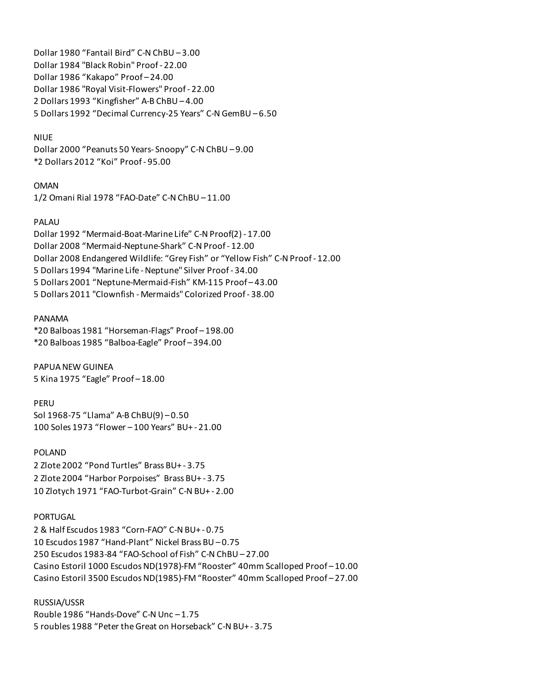Dollar 1980 "Fantail Bird" C-N ChBU – 3.00 Dollar 1984 "Black Robin" Proof - 22.00 Dollar 1986 "Kakapo" Proof – 24.00 Dollar 1986 "Royal Visit-Flowers" Proof - 22.00 2 Dollars 1993 "Kingfisher" A-B ChBU – 4.00 5 Dollars 1992 "Decimal Currency-25 Years" C-N GemBU – 6.50

### NIUE

Dollar 2000 "Peanuts 50 Years- Snoopy" C-N ChBU – 9.00 \*2 Dollars 2012 "Koi" Proof - 95.00

OMAN 1/2 Omani Rial 1978 "FAO-Date" C-N ChBU – 11.00

### PALAU

Dollar 1992 "Mermaid-Boat-Marine Life" C-N Proof(2) - 17.00 Dollar 2008 "Mermaid-Neptune-Shark" C-N Proof - 12.00 Dollar 2008 Endangered Wildlife: "Grey Fish" or "Yellow Fish" C-N Proof - 12.00 5 Dollars 1994 "Marine Life - Neptune" Silver Proof - 34.00 5 Dollars 2001 "Neptune-Mermaid-Fish" KM-115 Proof – 43.00 5 Dollars 2011 "Clownfish - Mermaids" Colorized Proof - 38.00

#### PANAMA

\*20 Balboas 1981 "Horseman-Flags" Proof – 198.00 \*20 Balboas 1985 "Balboa-Eagle" Proof – 394.00

PAPUA NEW GUINEA 5 Kina 1975 "Eagle" Proof – 18.00

PERU Sol 1968-75 "Llama" A-B ChBU(9) – 0.50 100 Soles 1973 "Flower – 100 Years" BU+ - 21.00

POLAND 2 Zlote 2002 "Pond Turtles" Brass BU+ - 3.75 2 Zlote 2004 "Harbor Porpoises" Brass BU+ - 3.75 10 Zlotych 1971 "FAO-Turbot-Grain" C-N BU+ - 2.00

### PORTUGAL

2 & Half Escudos 1983 "Corn-FAO" C-N BU+ - 0.75 10 Escudos 1987 "Hand-Plant" Nickel Brass BU – 0.75 250 Escudos 1983-84 "FAO-School of Fish" C-N ChBU – 27.00 Casino Estoril 1000 Escudos ND(1978)-FM "Rooster" 40mm Scalloped Proof – 10.00 Casino Estoril 3500 Escudos ND(1985)-FM "Rooster" 40mm Scalloped Proof – 27.00

RUSSIA/USSR Rouble 1986 "Hands-Dove" C-N Unc – 1.75 5 roubles 1988 "Peter the Great on Horseback" C-N BU+ - 3.75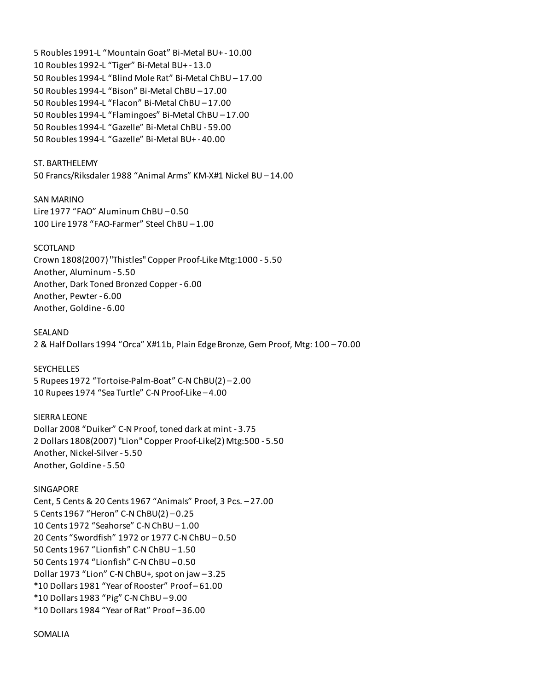5 Roubles 1991-L "Mountain Goat" Bi-Metal BU+ - 10.00 10 Roubles 1992-L "Tiger" Bi-Metal BU+ - 13.0 50 Roubles 1994-L "Blind Mole Rat" Bi-Metal ChBU – 17.00 50 Roubles 1994-L "Bison" Bi-Metal ChBU – 17.00 50 Roubles 1994-L "Flacon" Bi-Metal ChBU – 17.00 50 Roubles 1994-L "Flamingoes" Bi-Metal ChBU – 17.00 50 Roubles 1994-L "Gazelle" Bi-Metal ChBU - 59.00 50 Roubles 1994-L "Gazelle" Bi-Metal BU+ - 40.00

### ST. BARTHELEMY

50 Francs/Riksdaler 1988 "Animal Arms" KM-X#1 Nickel BU – 14.00

#### SAN MARINO

Lire 1977 "FAO" Aluminum ChBU – 0.50 100 Lire 1978 "FAO-Farmer" Steel ChBU – 1.00

#### SCOTLAND

Crown 1808(2007) "Thistles" Copper Proof-Like Mtg:1000 - 5.50 Another, Aluminum - 5.50 Another, Dark Toned Bronzed Copper - 6.00 Another, Pewter - 6.00 Another, Goldine - 6.00

SEALAND 2 & Half Dollars 1994 "Orca" X#11b, Plain Edge Bronze, Gem Proof, Mtg: 100 – 70.00

### **SEYCHELLES**

5 Rupees 1972 "Tortoise-Palm-Boat" C-N ChBU(2) – 2.00 10 Rupees 1974 "Sea Turtle" C-N Proof-Like – 4.00

### SIERRA LEONE

Dollar 2008 "Duiker" C-N Proof, toned dark at mint - 3.75 2 Dollars 1808(2007) "Lion" Copper Proof-Like(2) Mtg:500 - 5.50 Another, Nickel-Silver - 5.50 Another, Goldine - 5.50

### SINGAPORE

Cent, 5 Cents & 20 Cents 1967 "Animals" Proof, 3 Pcs. – 27.00 5 Cents 1967 "Heron" C-N ChBU(2) – 0.25 10 Cents 1972 "Seahorse" C-N ChBU – 1.00 20 Cents "Swordfish" 1972 or 1977 C-N ChBU – 0.50 50 Cents 1967 "Lionfish" C-N ChBU – 1.50 50 Cents 1974 "Lionfish" C-N ChBU – 0.50 Dollar 1973 "Lion" C-N ChBU+, spot on jaw – 3.25 \*10 Dollars 1981 "Year of Rooster" Proof – 61.00 \*10 Dollars 1983 "Pig" C-N ChBU – 9.00 \*10 Dollars 1984 "Year of Rat" Proof – 36.00

### SOMALIA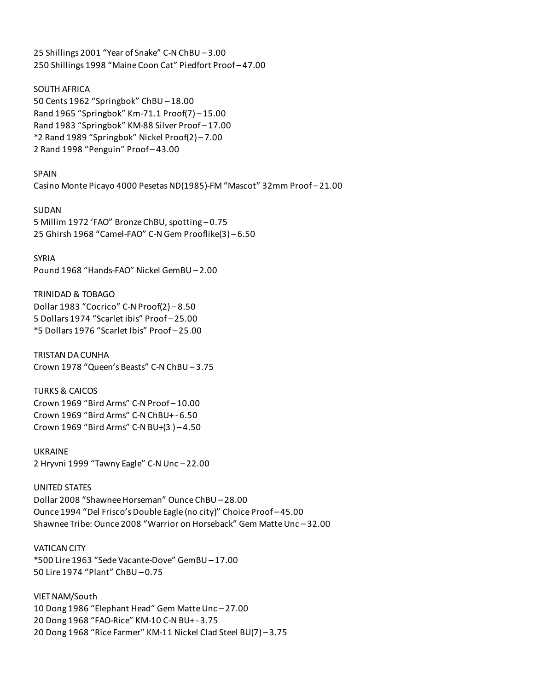25 Shillings 2001 "Year of Snake" C-N ChBU – 3.00 250 Shillings 1998 "Maine Coon Cat" Piedfort Proof – 47.00

SOUTH AFRICA 50 Cents 1962 "Springbok" ChBU – 18.00 Rand 1965 "Springbok" Km-71.1 Proof(7) – 15.00 Rand 1983 "Springbok" KM-88 Silver Proof – 17.00 \*2 Rand 1989 "Springbok" Nickel Proof(2) – 7.00 2 Rand 1998 "Penguin" Proof – 43.00

SPAIN Casino Monte Picayo 4000 Pesetas ND(1985)-FM "Mascot" 32mm Proof – 21.00

SUDAN 5 Millim 1972 'FAO" Bronze ChBU, spotting – 0.75 25 Ghirsh 1968 "Camel-FAO" C-N Gem Prooflike(3) – 6.50

SYRIA Pound 1968 "Hands-FAO" Nickel GemBU – 2.00

TRINIDAD & TOBAGO Dollar 1983 "Cocrico" C-N Proof(2) – 8.50 5 Dollars 1974 "Scarlet ibis" Proof – 25.00 \*5 Dollars 1976 "Scarlet Ibis" Proof – 25.00

TRISTAN DA CUNHA Crown 1978 "Queen's Beasts" C-N ChBU – 3.75

TURKS & CAICOS Crown 1969 "Bird Arms" C-N Proof – 10.00 Crown 1969 "Bird Arms" C-N ChBU+ - 6.50 Crown 1969 "Bird Arms" C-N BU+(3 ) – 4.50

UKRAINE 2 Hryvni 1999 "Tawny Eagle" C-N Unc – 22.00

UNITED STATES Dollar 2008 "Shawnee Horseman" Ounce ChBU – 28.00 Ounce 1994 "Del Frisco's Double Eagle (no city)" Choice Proof – 45.00 Shawnee Tribe: Ounce 2008 "Warrior on Horseback" Gem Matte Unc – 32.00

VATICAN CITY \*500 Lire 1963 "Sede Vacante-Dove" GemBU – 17.00 50 Lire 1974 "Plant" ChBU – 0.75

VIET NAM/South 10 Dong 1986 "Elephant Head" Gem Matte Unc – 27.00 20 Dong 1968 "FAO-Rice" KM-10 C-N BU+ - 3.75 20 Dong 1968 "Rice Farmer" KM-11 Nickel Clad Steel BU(7) – 3.75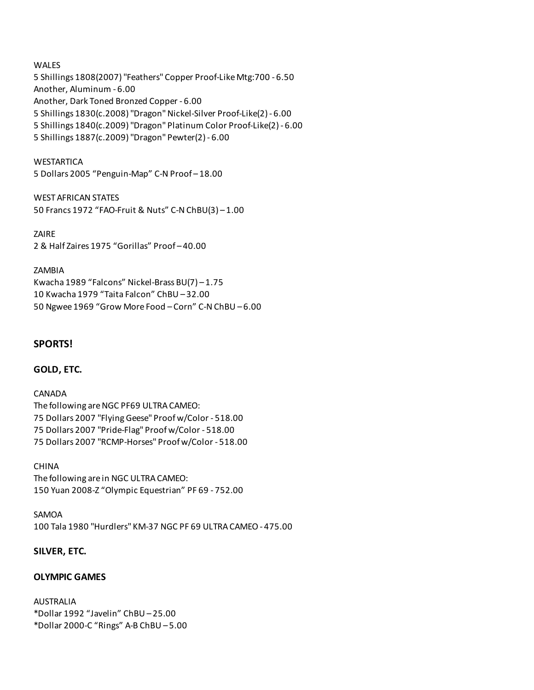### WALES

5 Shillings 1808(2007) "Feathers" Copper Proof-Like Mtg:700 - 6.50 Another, Aluminum - 6.00 Another, Dark Toned Bronzed Copper - 6.00 5 Shillings 1830(c.2008) "Dragon" Nickel-Silver Proof-Like(2) - 6.00 5 Shillings 1840(c.2009) "Dragon" Platinum Color Proof-Like(2) - 6.00 5 Shillings 1887(c.2009) "Dragon" Pewter(2) - 6.00

**WESTARTICA** 5 Dollars 2005 "Penguin-Map" C-N Proof – 18.00

WEST AFRICAN STATES 50 Francs 1972 "FAO-Fruit & Nuts" C-N ChBU(3) – 1.00

ZAIRE 2 & Half Zaires 1975 "Gorillas" Proof – 40.00

### ZAMBIA

Kwacha 1989 "Falcons" Nickel-Brass BU(7) – 1.75 10 Kwacha 1979 "Taita Falcon" ChBU – 32.00 50 Ngwee 1969 "Grow More Food – Corn" C-N ChBU – 6.00

# **SPORTS!**

## **GOLD, ETC.**

### CANADA

The following are NGC PF69 ULTRA CAMEO: 75 Dollars 2007 "Flying Geese" Proof w/Color - 518.00 75 Dollars 2007 "Pride-Flag" Proof w/Color - 518.00 75 Dollars 2007 "RCMP-Horses" Proof w/Color - 518.00

## CHINA

The following are in NGC ULTRA CAMEO: 150 Yuan 2008-Z "Olympic Equestrian" PF 69 - 752.00

SAMOA 100 Tala 1980 "Hurdlers" KM-37 NGC PF 69 ULTRA CAMEO - 475.00

## **SILVER, ETC.**

# **OLYMPIC GAMES**

AUSTRALIA \*Dollar 1992 "Javelin" ChBU – 25.00 \*Dollar 2000-C "Rings" A-B ChBU – 5.00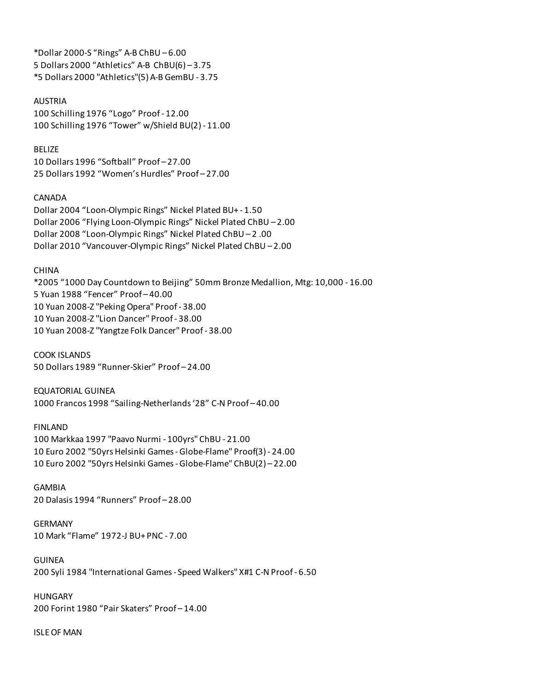\*Dollar 2000-S "Rings" A-B ChBU – 6.00 5 Dollars 2000 "Athletics" A-B ChBU(6) – 3.75 \*5 Dollars 2000 "Athletics"(5) A-B GemBU - 3.75

#### AUSTRIA

100 Schilling 1976 "Logo" Proof - 12.00 100 Schilling 1976 "Tower" w/Shield BU(2) - 11.00

BELIZE 10 Dollars 1996 "Softball" Proof – 27.00 25 Dollars 1992 "Women's Hurdles" Proof – 27.00

### CANADA

Dollar 2004 "Loon-Olympic Rings" Nickel Plated BU+ - 1.50 Dollar 2006 "Flying Loon-Olympic Rings" Nickel Plated ChBU – 2.00 Dollar 2008 "Loon-Olympic Rings" Nickel Plated ChBU – 2 .00 Dollar 2010 "Vancouver-Olympic Rings" Nickel Plated ChBU – 2.00

### CHINA

\*2005 "1000 Day Countdown to Beijing" 50mm Bronze Medallion, Mtg: 10,000 - 16.00 5 Yuan 1988 "Fencer" Proof – 40.00 10 Yuan 2008-Z "Peking Opera" Proof - 38.00 10 Yuan 2008-Z "Lion Dancer" Proof - 38.00 10 Yuan 2008-Z "Yangtze Folk Dancer" Proof - 38.00

COOK ISLANDS 50 Dollars 1989 "Runner-Skier" Proof – 24.00

EQUATORIAL GUINEA 1000 Francos 1998 "Sailing-Netherlands '28" C-N Proof – 40.00

#### FINLAND

100 Markkaa 1997 "Paavo Nurmi - 100yrs" ChBU - 21.00 10 Euro 2002 "50yrs Helsinki Games - Globe-Flame" Proof(3) - 24.00 10 Euro 2002 "50yrs Helsinki Games - Globe-Flame" ChBU(2) – 22.00

GAMBIA 20 Dalasis 1994 "Runners" Proof – 28.00

GERMANY 10 Mark "Flame" 1972-J BU+ PNC - 7.00

GUINEA 200 Syli 1984 "International Games - Speed Walkers" X#1 C-N Proof - 6.50

HUNGARY 200 Forint 1980 "Pair Skaters" Proof – 14.00

ISLE OF MAN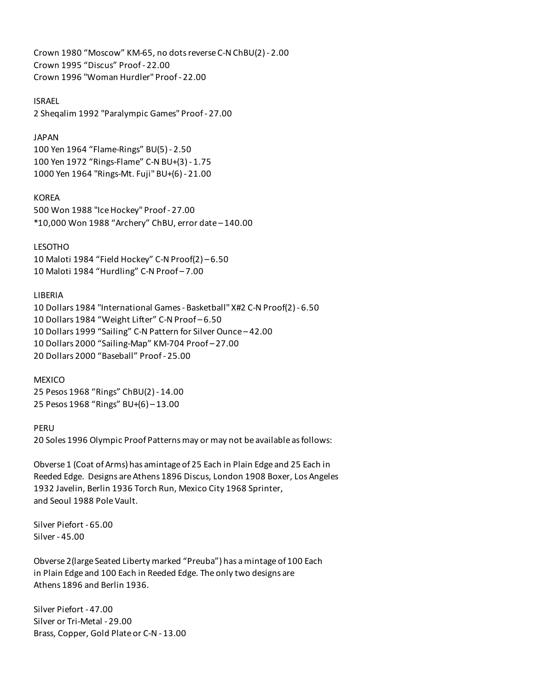Crown 1980 "Moscow" KM-65, no dots reverse C-N ChBU(2) - 2.00 Crown 1995 "Discus" Proof - 22.00 Crown 1996 "Woman Hurdler" Proof - 22.00

ISRAEL 2 Sheqalim 1992 "Paralympic Games" Proof - 27.00

### JAPAN

100 Yen 1964 "Flame-Rings" BU(5) - 2.50 100 Yen 1972 "Rings-Flame" C-N BU+(3) - 1.75 1000 Yen 1964 "Rings-Mt. Fuji" BU+(6) - 21.00

### KOREA

500 Won 1988 "Ice Hockey" Proof - 27.00 \*10,000 Won 1988 "Archery" ChBU, error date – 140.00

LESOTHO

10 Maloti 1984 "Field Hockey" C-N Proof(2) – 6.50 10 Maloti 1984 "Hurdling" C-N Proof – 7.00

#### LIBERIA

10 Dollars 1984 "International Games - Basketball" X#2 C-N Proof(2) - 6.50 10 Dollars 1984 "Weight Lifter" C-N Proof – 6.50 10 Dollars 1999 "Sailing" C-N Pattern for Silver Ounce – 42.00 10 Dollars 2000 "Sailing-Map" KM-704 Proof – 27.00 20 Dollars 2000 "Baseball" Proof - 25.00

**MEXICO** 25 Pesos 1968 "Rings" ChBU(2) - 14.00 25 Pesos 1968 "Rings" BU+(6) – 13.00

PERU

20 Soles 1996 Olympic Proof Patterns may or may not be available as follows:

Obverse 1 (Coat of Arms) has amintage of 25 Each in Plain Edge and 25 Each in Reeded Edge. Designs are Athens 1896 Discus, London 1908 Boxer, Los Angeles 1932 Javelin, Berlin 1936 Torch Run, Mexico City 1968 Sprinter, and Seoul 1988 Pole Vault.

Silver Piefort - 65.00 Silver - 45.00

Obverse 2(large Seated Liberty marked "Preuba") has a mintage of 100 Each in Plain Edge and 100 Each in Reeded Edge. The only two designs are Athens 1896 and Berlin 1936.

Silver Piefort - 47.00 Silver or Tri-Metal - 29.00 Brass, Copper, Gold Plate or C-N - 13.00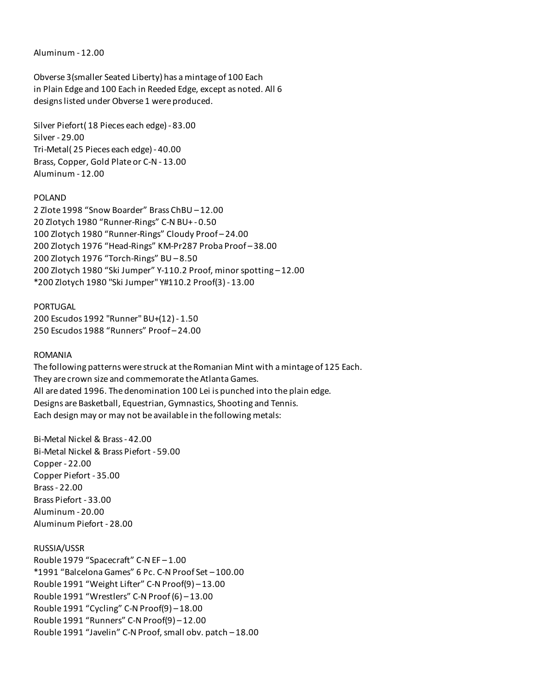Aluminum - 12.00

Obverse 3(smaller Seated Liberty) has a mintage of 100 Each in Plain Edge and 100 Each in Reeded Edge, except as noted. All 6 designs listed under Obverse 1 were produced.

Silver Piefort( 18 Pieces each edge) - 83.00 Silver - 29.00 Tri-Metal( 25 Pieces each edge) - 40.00 Brass, Copper, Gold Plate or C-N - 13.00 Aluminum - 12.00

### POLAND

2 Zlote 1998 "Snow Boarder" Brass ChBU – 12.00 20 Zlotych 1980 "Runner-Rings" C-N BU+ - 0.50 100 Zlotych 1980 "Runner-Rings" Cloudy Proof – 24.00 200 Zlotych 1976 "Head-Rings" KM-Pr287 Proba Proof – 38.00 200 Zlotych 1976 "Torch-Rings" BU – 8.50 200 Zlotych 1980 "Ski Jumper" Y-110.2 Proof, minor spotting – 12.00 \*200 Zlotych 1980 "Ski Jumper" Y#110.2 Proof(3) - 13.00

PORTUGAL 200 Escudos 1992 "Runner" BU+(12) - 1.50 250 Escudos 1988 "Runners" Proof – 24.00

### ROMANIA

The following patterns were struck at the Romanian Mint with a mintage of 125 Each. They are crown size and commemorate the Atlanta Games. All are dated 1996. The denomination 100 Lei is punched into the plain edge. Designs are Basketball, Equestrian, Gymnastics, Shooting and Tennis. Each design may or may not be available in the following metals:

Bi-Metal Nickel & Brass - 42.00 Bi-Metal Nickel & Brass Piefort - 59.00 Copper - 22.00 Copper Piefort - 35.00 Brass - 22.00 Brass Piefort - 33.00 Aluminum - 20.00 Aluminum Piefort - 28.00

## RUSSIA/USSR

Rouble 1979 "Spacecraft" C-N EF – 1.00 \*1991 "Balcelona Games" 6 Pc. C-N Proof Set – 100.00 Rouble 1991 "Weight Lifter" C-N Proof(9) – 13.00 Rouble 1991 "Wrestlers" C-N Proof (6) – 13.00 Rouble 1991 "Cycling" C-N Proof(9) – 18.00 Rouble 1991 "Runners" C-N Proof(9) – 12.00 Rouble 1991 "Javelin" C-N Proof, small obv. patch – 18.00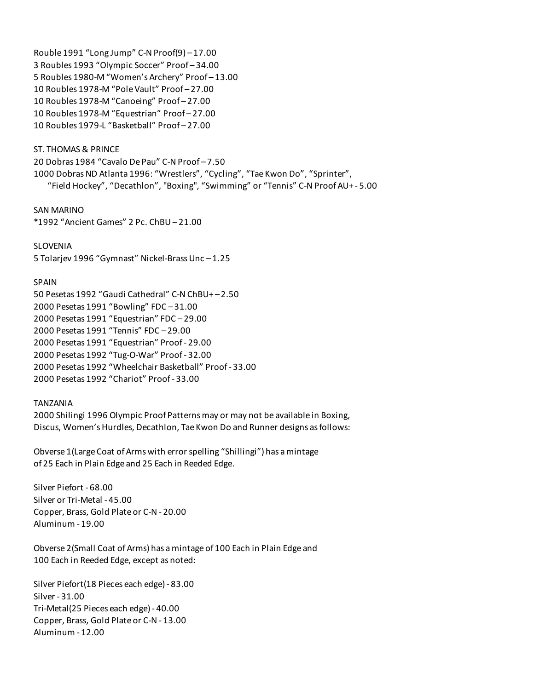Rouble 1991 "Long Jump" C-N Proof(9) – 17.00 3 Roubles 1993 "Olympic Soccer" Proof – 34.00 5 Roubles 1980-M "Women's Archery" Proof – 13.00 10 Roubles 1978-M "Pole Vault" Proof – 27.00 10 Roubles 1978-M "Canoeing" Proof – 27.00 10 Roubles 1978-M "Equestrian" Proof – 27.00 10 Roubles 1979-L "Basketball" Proof – 27.00

# ST. THOMAS & PRINCE 20 Dobras 1984 "Cavalo De Pau" C-N Proof – 7.50 1000 Dobras ND Atlanta 1996: "Wrestlers", "Cycling", "Tae Kwon Do", "Sprinter", "Field Hockey", "Decathlon", "Boxing", "Swimming" or "Tennis" C-N Proof AU+ - 5.00

SAN MARINO \*1992 "Ancient Games" 2 Pc. ChBU – 21.00

SLOVENIA 5 Tolarjev 1996 "Gymnast" Nickel-Brass Unc – 1.25

## SPAIN

50 Pesetas 1992 "Gaudi Cathedral" C-N ChBU+ – 2.50 2000 Pesetas 1991 "Bowling" FDC – 31.00 2000 Pesetas 1991 "Equestrian" FDC – 29.00 2000 Pesetas 1991 "Tennis" FDC – 29.00 2000 Pesetas 1991 "Equestrian" Proof - 29.00 2000 Pesetas 1992 "Tug-O-War" Proof - 32.00 2000 Pesetas 1992 "Wheelchair Basketball" Proof - 33.00 2000 Pesetas 1992 "Chariot" Proof - 33.00

### TANZANIA

2000 Shilingi 1996 Olympic Proof Patterns may or may not be available in Boxing, Discus, Women's Hurdles, Decathlon, Tae Kwon Do and Runner designs as follows:

Obverse 1(Large Coat of Arms with error spelling "Shillingi") has a mintage of 25 Each in Plain Edge and 25 Each in Reeded Edge.

Silver Piefort - 68.00 Silver or Tri-Metal - 45.00 Copper, Brass, Gold Plate or C-N - 20.00 Aluminum - 19.00

Obverse 2(Small Coat of Arms) has a mintage of 100 Each in Plain Edge and 100 Each in Reeded Edge, except as noted:

Silver Piefort(18 Pieces each edge) - 83.00 Silver - 31.00 Tri-Metal(25 Pieces each edge) - 40.00 Copper, Brass, Gold Plate or C-N - 13.00 Aluminum - 12.00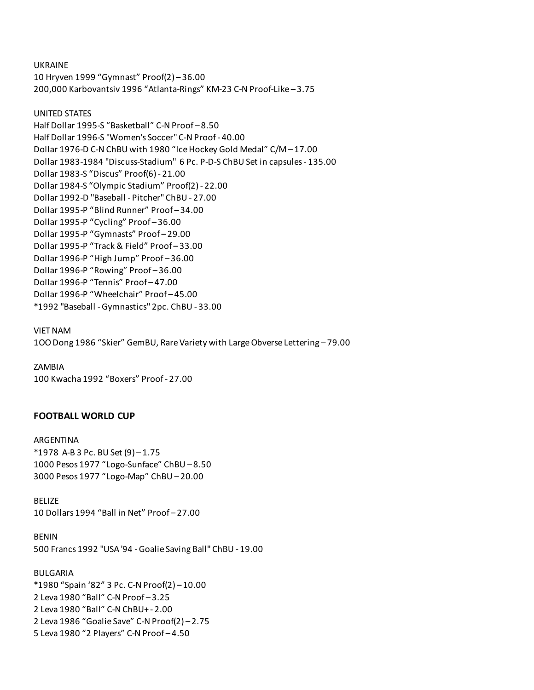UKRAINE

10 Hryven 1999 "Gymnast" Proof(2) – 36.00 200,000 Karbovantsiv 1996 "Atlanta-Rings" KM-23 C-N Proof-Like – 3.75

UNITED STATES Half Dollar 1995-S "Basketball" C-N Proof – 8.50 Half Dollar 1996-S "Women's Soccer" C-N Proof - 40.00 Dollar 1976-D C-N ChBU with 1980 "Ice Hockey Gold Medal" C/M – 17.00 Dollar 1983-1984 "Discuss-Stadium" 6 Pc. P-D-S ChBU Set in capsules - 135.00 Dollar 1983-S "Discus" Proof(6) - 21.00 Dollar 1984-S "Olympic Stadium" Proof(2) - 22.00 Dollar 1992-D "Baseball - Pitcher" ChBU - 27.00 Dollar 1995-P "Blind Runner" Proof – 34.00 Dollar 1995-P "Cycling" Proof – 36.00 Dollar 1995-P "Gymnasts" Proof – 29.00 Dollar 1995-P "Track & Field" Proof – 33.00 Dollar 1996-P "High Jump" Proof – 36.00 Dollar 1996-P "Rowing" Proof – 36.00 Dollar 1996-P "Tennis" Proof – 47.00 Dollar 1996-P "Wheelchair" Proof – 45.00 \*1992 "Baseball - Gymnastics" 2pc. ChBU - 33.00

VIET NAM 1OO Dong 1986 "Skier" GemBU, Rare Variety with Large Obverse Lettering – 79.00

ZAMBIA 100 Kwacha 1992 "Boxers" Proof - 27.00

## **FOOTBALL WORLD CUP**

ARGENTINA \*1978 A-B 3 Pc. BU Set (9) – 1.75 1000 Pesos 1977 "Logo-Sunface" ChBU – 8.50 3000 Pesos 1977 "Logo-Map" ChBU – 20.00

BELIZE 10 Dollars 1994 "Ball in Net" Proof – 27.00

BENIN 500 Francs 1992 "USA '94 - Goalie Saving Ball" ChBU - 19.00

BULGARIA \*1980 "Spain '82" 3 Pc. C-N Proof(2) – 10.00 2 Leva 1980 "Ball" C-N Proof – 3.25 2 Leva 1980 "Ball" C-N ChBU+ - 2.00 2 Leva 1986 "Goalie Save" C-N Proof(2) – 2.75 5 Leva 1980 "2 Players" C-N Proof – 4.50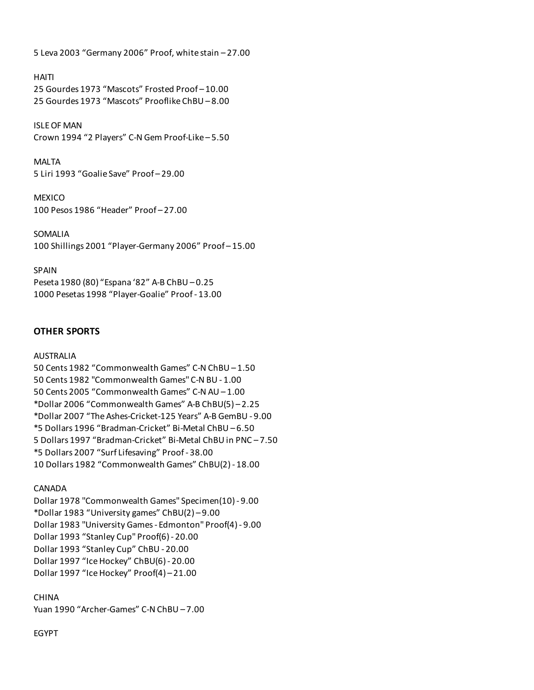5 Leva 2003 "Germany 2006" Proof, white stain – 27.00

### HAITI

25 Gourdes 1973 "Mascots" Frosted Proof – 10.00 25 Gourdes 1973 "Mascots" Prooflike ChBU – 8.00

ISLE OF MAN Crown 1994 "2 Players" C-N Gem Proof-Like – 5.50

MALTA 5 Liri 1993 "Goalie Save" Proof – 29.00

**MEXICO** 100 Pesos 1986 "Header" Proof – 27.00

SOMALIA 100 Shillings 2001 "Player-Germany 2006" Proof – 15.00

SPAIN Peseta 1980 (80) "Espana '82" A-B ChBU – 0.25 1000 Pesetas 1998 "Player-Goalie" Proof - 13.00

# **OTHER SPORTS**

### AUSTRALIA

50 Cents 1982 "Commonwealth Games" C-N ChBU – 1.50 50 Cents 1982 "Commonwealth Games" C-N BU - 1.00 50 Cents 2005 "Commonwealth Games" C-N AU – 1.00 \*Dollar 2006 "Commonwealth Games" A-B ChBU(5) – 2.25 \*Dollar 2007 "The Ashes-Cricket-125 Years" A-B GemBU - 9.00 \*5 Dollars 1996 "Bradman-Cricket" Bi-Metal ChBU – 6.50 5 Dollars 1997 "Bradman-Cricket" Bi-Metal ChBU in PNC – 7.50 \*5 Dollars 2007 "Surf Lifesaving" Proof - 38.00 10 Dollars 1982 "Commonwealth Games" ChBU(2) - 18.00

## CANADA

Dollar 1978 "Commonwealth Games" Specimen(10) - 9.00 \*Dollar 1983 "University games" ChBU(2) – 9.00 Dollar 1983 "University Games - Edmonton" Proof(4) - 9.00 Dollar 1993 "Stanley Cup" Proof(6) - 20.00 Dollar 1993 "Stanley Cup" ChBU - 20.00 Dollar 1997 "Ice Hockey" ChBU(6) - 20.00 Dollar 1997 "Ice Hockey" Proof(4) – 21.00

## CHINA

Yuan 1990 "Archer-Games" C-N ChBU – 7.00

## EGYPT